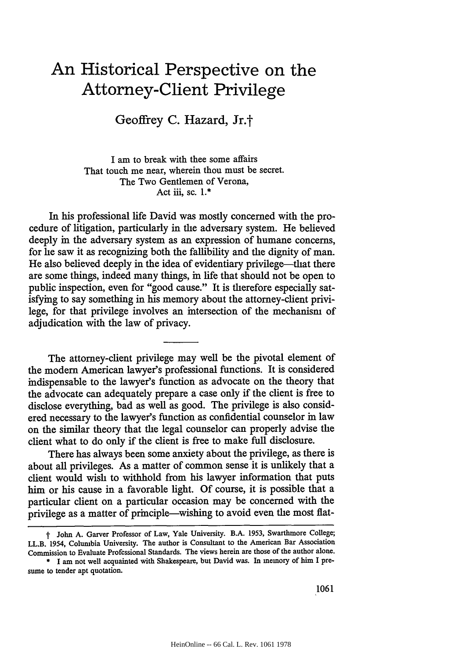# **An Historical Perspective on the Attorney-Client Privilege**

Geoffrey C. Hazard, Jr.t

I am to break with thee some affairs That touch me near, wherein thou must be secret. The Two Gentlemen of Verona, Act iii, sc. **1.\***

In his professional life David was mostly concerned with the procedure of litigation, particularly in the adversary system. He believed deeply in the adversary system as an expression of humane concerns, for he saw it as recognizing both the fallibility and the dignity of man. He also believed deeply in the idea of evidentiary privilege—that there are some things, indeed many things, in life that should not be open to public inspection, even for "good cause." It is therefore especially satisfying to say something in his memory about the attorney-client privilege, for that privilege involves an intersection of the mechanism of adjudication with the law of privacy.

The attorney-client privilege may well be the pivotal element of the modern American lawyer's professional functions. It is considered indispensable to the lawyer's function as advocate on the theory that the advocate can adequately prepare a case only if the client is free to disclose everything, bad as well as good. The privilege is also considered necessary to the lawyer's function as confidential counselor in law on the similar theory that the legal counselor can properly advise the client what to do only if the client is free to make full disclosure.

There has always been some anxiety about the privilege, as there is about all privileges. As a matter of common sense it is unlikely that a client would wish to withhold from his lawyer information that puts him or his cause in a favorable light. Of course, it is possible that a particular client on a particular occasion may be concerned with the privilege as a matter of principle-wishing to avoid even the most flat-

t John A. Garver Professor of Law, Yale University. B.A. 1953, Swarthmore College; LL.B. 1954, Columbia University. The author is Consultant to the American Bar Association Commission to Evaluate Professional Standards. The views herein are those of the author alone.

**<sup>\*</sup>** I am not well acquainted with Shakespeare, but David was. In memory of him I presume to tender apt quotation.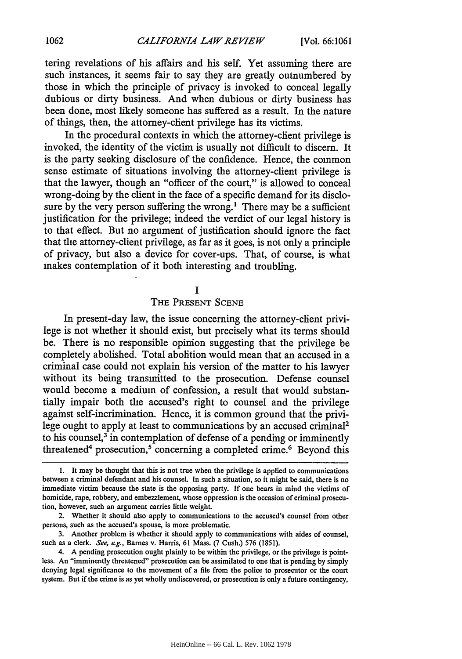tering revelations of his affairs and his self. Yet assuming there are such instances, it seems fair to say they are greatly outnumbered by those in which the principle of privacy is invoked to conceal legally dubious or dirty business. And when dubious or dirty business has been done, most likely someone has suffered as a result. In the nature of things, then, the attorney-client privilege has its victims.

In the procedural contexts in which the attorney-client privilege is invoked, the identity of the victim is usually not difficult to discern. It is the party seeking disclosure of the confidence. Hence, the common sense estimate of situations involving the attorney-client privilege is that the lawyer, though an "officer of the court," is allowed to conceal wrong-doing by the client in the face of a specific demand for its disclosure by the very person suffering the wrong.<sup>1</sup> There may be a sufficient justification for the privilege; indeed the verdict of our legal history is to that effect. But no argument of justification should ignore the fact that the attorney-client privilege, as far as it goes, is not only a principle of privacy, but also a device for cover-ups. That, of course, is what makes contemplation of it both interesting and troubling.

**I**

THE **PRESENT SCENE**

In present-day law, the issue concerning the attorney-client privilege is not whether it should exist, but precisely what its terms should be. There is no responsible opinion suggesting that the privilege be completely abolished. Total abolition would mean that an accused in a criminal case could not explain his version of the matter to his lawyer without its being transmitted to the prosecution. Defense counsel would become a medium of confession, a result that would substantially impair both the accused's right to counsel and the privilege against self-incrimination. Hence, it is common ground that the privilege ought to apply at least to communications by an accused criminal<sup>2</sup> to his counsel,<sup>3</sup> in contemplation of defense of a pending or imminently threatened<sup>4</sup> prosecution,<sup>5</sup> concerning a completed crime.<sup>6</sup> Beyond this

**<sup>1.</sup>** It may be thought that this is not true when the privilege is applied to communications between a criminal defendant and his counsel. In such a situation, so it might be said, there is no immediate victim because the state is the opposing party. If one bears in mind the victims of homicide, rape, robbery, and embezzlement, whose oppression is the occasion of criminal prosecution, however, such an argument carries little weight.

<sup>2.</sup> Whether it should also apply to communications to the accused's counsel from other persons, such as the accused's spouse, is more problematic.

<sup>3.</sup> Another problem is whether it should apply to communications with aides of counsel, such as a clerk. *See, e.g.,* Barnes v. Harris, 61 Mass. (7 Cush.) 576 (1851).

<sup>4.</sup> A pending prosecution ought plainly to be within the privilege, or the privilege is pointless. An "imminently threatened" prosecution can be assimilated to one that is pending by simply denying legal significance to the movement of a file from the police to prosecutor or the court system. But if the crime is as yet wholly undiscovered, or prosecution is only a future contingency,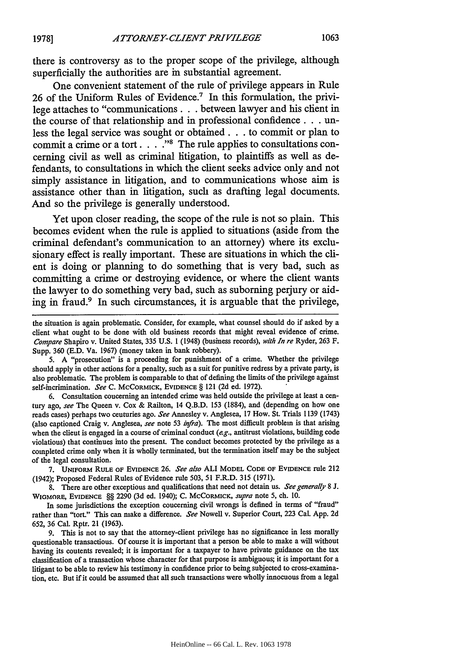there is controversy as to the proper scope of the privilege, although superficially the authorities are in substantial agreement.

One convenient statement of the rule of privilege appears in Rule **26** of the Uniform Rules of Evidence.7 In this formulation, the privilege attaches to "communications. **. .**between lawyer and his client in the course of that relationship and in professional confidence. **. .** unless the legal service was sought or obtained. **. .** to commit or plan to commit a crime or a tort. **... "8** The rule applies to consultations concerning civil as well as criminal litigation, to plaintiffs as **well** as defendants, to consultations in which the client seeks advice only and not simply assistance in litigation, and to communications whose aim is assistance other than in litigation, such as drafting legal documents. And so the privilege is generally understood.

Yet upon closer reading, the scope of the rule is not so plain. This becomes evident when the rule is applied to situations (aside from the criminal defendant's communication to an attorney) where its exclusionary effect is really important. These are situations in which the client is doing or planning to do something that is very bad, such as committing a crime or destroying evidence, or where the client wants the lawyer to do something very bad, such as suborning perjury or aiding in fraud.<sup>9</sup> In such circumstances, it is arguable that the privilege,

5. A "prosecution" is a proceeding for punishment of a crime. Whether the privilege should apply in other actions for a penalty, such as a suit for punitive redress by a private party, is also problematic. The problem is comparable to that of defining the limits of the privilege against self-incrimination. *See* C. MCCORMICK, **EVIDENCE** § 121 (2d ed. 1972).

6. Consultation concerning an intended crime was held outside the privilege at least a century ago, *see* The Queen v. Cox & Railton, 14 Q.B.D. 153 (1884), and (depending on how one reads cases) perhaps two centuries ago. *See* Annesley v. Anglesea, 17 How. St. Trials 1139 (1743) (also captioned Craig v. Anglesea, *see* note 53 *infra).* The most difficult problem is that arising when the client is engaged in a course of criminal conduct *(e.g.,* antitrust violations, building code violations) that continues into the present. The conduct becomes protected by the privilege as a completed crime only when it is wholly terminated, but the termination itself may be the subject of the legal consultation.

**7.** UNIFORM RULE **OF EVIDENCE** 26. *See also* ALl **MODEL CODE** OF EVIDENCE rule 212 (1942); Proposed Federal Rules of Evidence rule **503, 51** F.R.D. **315** (1971).

8. There are other exceptions and qualifications that need not detain us. *See generally* 8 J. **WIGMORE,** EVIDENCE §§ 2290 (3d ed. 1940); C. McCoRMICK, *supra* note 5, ch. **10.**

In some jurisdictions the exception concerning civil wrongs is defined in terms of "fraud" rather than "tort." This can make a difference. *See* Nowell v. Superior Court, 223 Cal. App. 2d 652, 36 Cal. Rptr. 21 (1963).

9. This is not to say that the attorney-client privilege has no significance in less morally questionable transactions. Of course it is important that a person be able to make a will without having its contents revealed; it is important for a taxpayer to have private guidance on the tax classification of a transaction whose character for that purpose is ambiguous; it is important for a litigant to be able to review his testimony in confidence prior to being subjected to cross-examination, etc. But if it could be assumed that all such transactions were wholly innocuous from a legal

the situation is again problematic. Consider, for example, what counsel should do if asked by a client what ought to be done with old business records that might reveal evidence of crime. *Compare* Shapiro v. United States, 335 U.S. **1** (1948) (business records), *with In re* Ryder, 263 F. Supp. 360 (E.D. Va. 1967) (money taken in bank robbery).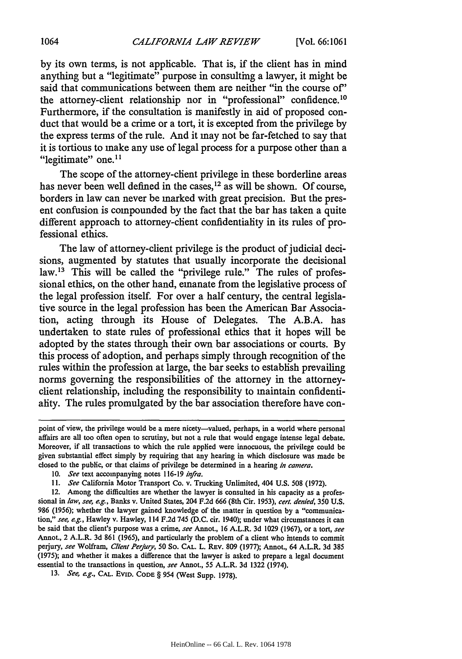**by** its own terms, is not applicable. That is, if the client has in mind anything but a "legitimate" purpose in consulting a lawyer, it might be said that communications between them are neither "in the course **of"** the attorney-client relationship nor in "professional" confidence.10 Furthermore, if the consultation is manifestly in aid of proposed conduct that would be a crime or a tort, it is excepted from the privilege **by** the express terms of the rule. And it may not be far-fetched to say that it is tortious to make any use of legal process for a purpose other than a "legitimate" one.<sup>11</sup>

The scope of the attorney-client privilege in these borderline areas has never been well defined in the cases,12 as will be shown. **Of** course, borders in law can never be marked with great precision. But the present confusion is compounded **by** the fact that the bar has taken a quite different approach to attorney-client confidentiality in its rules of professional ethics.

The law of attorney-client privilege is the product of judicial decisions, augmented **by** statutes that usually incorporate the decisional law.<sup>13</sup> This will be called the "privilege rule." The rules of professional ethics, on the other hand, emanate from the legislative process of the legal profession itself. For over a half century, the central legislative source in the legal profession has been the American Bar Association, acting through its House of Delegates. The **A.B.A.** has undertaken to state rules of professional ethics that it hopes will be adopted **by** the states through their own bar associations or courts. **By** this process of adoption, and perhaps simply through recognition of the rules within the profession at large, the bar seeks to establish prevailing norms governing the responsibilities of the attorney in the attorneyclient relationship, including the responsibility to maintain confidentiality. The rules promulgated **by** the bar association therefore have con-

*10. See* text accompanying notes **116-19** *infra.*

point of view, the privilege would be a mere nicety-valued, perhaps, in a world where personal affairs are all too often open to scrutiny, but not a rule that would engage intense legal debate. Moreover, if all transactions to which the rule applied were innocuous, the privilege could **be** given substantial effect simply **by** requiring that any hearing in which disclosure was made be closed to the public, or that claims of privilege be determined in a hearing *in camera.*

**<sup>11.</sup>** *See* California Motor Transport Co. v. Trucking Unlimited, 404 **U.S. 508 (1972).**

<sup>12.</sup> Among the difficulties are whether the lawyer is consulted in his capacity as a professional in *law, see, e.g.,* Banks v. United States, 204 **F.2d 666** (8th Cir. **1953),** *cert. denied,* **350 U.S. 986 (1956);** whether the lawyer gained knowledge of the matter in question **by** a "communication," *see, e.g.,* Hawley v. Hawley, 114 **F.2d** 745 **(D.C.** cir. 1940); under what circumstances it can be said that the client's purpose was a crime, *see* Annot., **16** A.L.R. **3d 1029 (1967),** or a tort, *see* Annot., 2 A.L.R. **3d 861 (1965),** and particularly the problem of a client who intends to commit *perjury, see* Wolfram, *Client Perjury,* **50 So. CAL.** L. **REv. 809 (1977);** Annot., 64 A.L.R. **3d 385 (1975);** and whether it makes a difference that the lawyer is asked to prepare a legal document essential to the transactions in question, *see* Annot., **55** A.L.R. **3d 1322** (1974).

<sup>13.</sup> *See, e.g.,* **CAL. EVID. CODE §** 954 (West Supp. **1978).**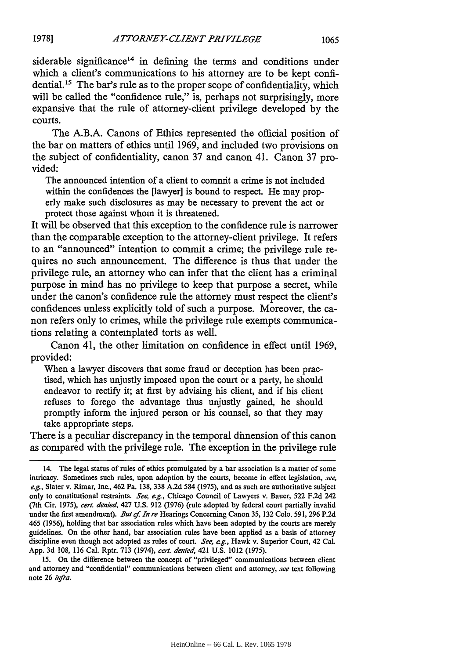siderable significance<sup>14</sup> in defining the terms and conditions under which a client's communications to his attorney are to be kept confidential.<sup>15</sup> The bar's rule as to the proper scope of confidentiality, which will be called the "confidence rule," is, perhaps not surprisingly, more expansive that the rule of attorney-client privilege developed by the courts.

The A.B.A. Canons of Ethics represented the official position of the bar on matters of ethics until 1969, and included two provisions on the subject of confidentiality, canon 37 and canon 41. Canon 37 provided:

The announced intention of a client to commit a crime is not included within the confidences the [lawyer] is bound to respect. He may properly make such disclosures as may be necessary to prevent the act or protect those against whom it is threatened.

It will be observed that this exception to the confidence rule is narrower than the comparable exception to the attorney-client privilege. It refers to an "announced" intention to commit a crime; the privilege rule requires no such announcement. The difference is thus that under the privilege rule, an attorney who can infer that the client has a criminal purpose in mind has no privilege to keep that purpose a secret, while under the canon's confidence rule the attorney must respect the client's confidences unless explicitly told of such a purpose. Moreover, the canon refers only to crimes, while the privilege rule exempts communications relating a contemplated torts as well.

Canon 41, the other limitation on confidence in effect until 1969, provided:

When a lawyer discovers that some fraud or deception has been practised, which has unjustly imposed upon the court or a party, he should endeavor to rectify it; at first by advising his client, and if his client refuses to forego the advantage thus unjustly gained, he should promptly inform the injured person or his counsel, so that they may take appropriate steps.

There is a peculiar discrepancy in the temporal dimension of this canon as compared with the privilege rule. The exception in the privilege rule

15. On the difference between the concept of "privileged" communications between client and attorney and "confidential" communications between client and attorney, *see* text following note 26 *infra.*

<sup>14.</sup> The legal status of rules of ethics promulgated by a bar association is a matter of some intricacy. Sometimes such rules, upon adoption by the courts, become in effect legislation, see, e.g., Slater v. Rimar, Inc., 462 Pa. 138, 338 A.2d 584 (1975), and as such are authoritative subject only to constitutional restraints. *See, e.g.,* Chicago Council of Lawyers v. Bauer, 522 F.2d 242 (7th Cir. 1975), *cert. denied,* 427 U.S. 912 (1976) (rule adopted by federal court partially invalid under the first amendment). *But ef In re* Hearings Concerning Canon 35, 132 Colo. 591,296 P.2d 465 (1956), holding that bar association rules which have been adopted by the courts are merely guidelines. On the other hand, bar association rules have been applied as a basis of attorney discipline even though not adopted as rules of court. *See, e.g.,* Hawk v. Superior Court, 42 Cal. App. 3d 108, 116 Cal. Rptr. 713 (1974), *cert. denied,* 421 U.S. 1012 (1975).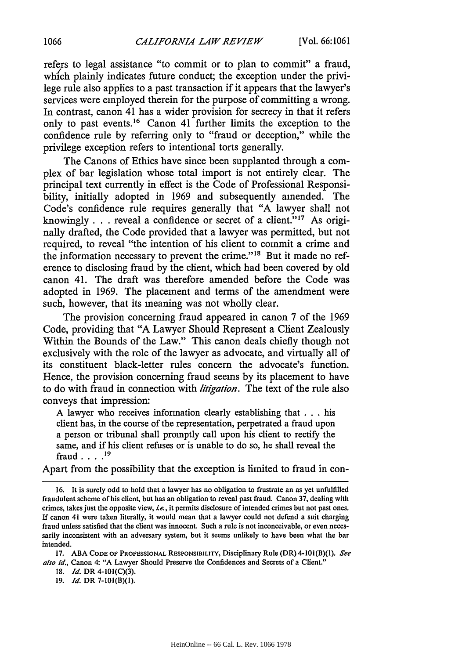refers to legal assistance "to commit or to plan to commit" a fraud, which plainly indicates future conduct; the exception under the privilege rule also applies to a past transaction if it appears that the lawyer's services were employed therein for the purpose of committing a wrong. In contrast, canon 41 has a wider provision for secrecy in that it refers only to past events.<sup>16</sup> Canon 41 further limits the exception to the confidence rule by referring only to "fraud or deception," while the privilege exception refers to intentional torts generally.

The Canons of Ethics have since been supplanted through a complex of bar legislation whose total import is not entirely clear. The principal text currently in effect is the Code of Professional Responsibility, initially adopted in 1969 and subsequently amended. The Code's confidence rule requires generally that "A lawyer shall not knowingly **. . .** reveal a confidence or secret of a client."' 7 As originally drafted, the Code provided that a lawyer was permitted, but not required, to reveal "the intention of his client to commit a crime and the information necessary to prevent the crime."18 But it made no reference to disclosing fraud by the chent, which had been covered by old canon 41. The draft was therefore amended before the Code was adopted in 1969. The placement and terms of the amendment were such, however, that its meaning was not wholly clear.

The provision concerning fraud appeared in canon 7 of the 1969 Code, providing that "A Lawyer Should Represent a Chent Zealously Within the Bounds of the Law." This canon deals chiefly though not exclusively with the role of the lawyer as advocate, and virtually all of its constituent black-letter rules concern the advocate's function. Hence, the provision concerning fraud seems by its placement to have to do with fraud in connection with *litigation.* The text of the rule also conveys that impression:

A lawyer who receives information clearly establishing that . . . his client has, in the course of the representation, perpetrated a fraud upon a person or tribunal shall promptly call upon his client to rectify the same, and if his client refuses or is unable to do so, he shall reveal the fraud **.... 19**

Apart from the possibility that the exception is limited to fraud in con-

17. ABA **CODE OF PROFESSIONAL** RESPONSmILITY, Disciplinary Rule (DR) 4-101(B)(l). *See also id.,* Canon 4: "A Lawyer Should Preserve the Confidences and Secrets of a Client."

**18.** *Id.* DR 4-101(C)(3).

**19.** *Id.* DR **7-1O(B)(I).**

<sup>16.</sup> It is surely odd to hold that a lawyer has no obligation to frustrate an as yet unfulfilled fraudulent scheme of his client, but has an obligation to reveal past fraud. Canon 37, dealing with crimes, takes just the opposite view, *Le.,* it permits disclosure of intended crimes but not past ones. If canon 41 were taken literally, it would mean that a lawyer could not defend a suit charging fraud unless satisfied that the client was innocent. Such a rule is not inconceivable, or even necessarily inconsistent with an adversary system, but it seems unlikely to have been what the bar intended.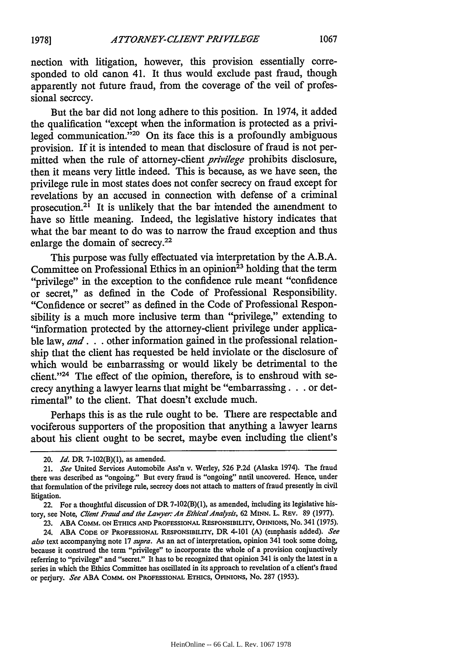nection with litigation, however, this provision essentially corresponded to old canon 41. It thus would exclude past fraud, though apparently not future fraud, from the coverage of the veil of professional secrecy.

But the bar did not long adhere to this position. In 1974, it added the qualification "except when the information is protected as a privileged communication."<sup>20</sup> On its face this is a profoundly ambiguous provision. If it is intended to mean that disclosure of fraud is not permitted when the rule of attorney-client *privilege* prohibits disclosure, then it means very little indeed. This is because, as we have seen, the privilege rule in most states does not confer secrecy on fraud except for revelations **by** an accused in connection with defense of a criminal prosecution.<sup>21</sup> It is unlikely that the bar intended the amendment to have so little meaning. Indeed, the legislative history indicates that what the bar meant to do was to narrow the fraud exception and thus enlarge the domain of secrecy.22

This purpose was fully effectuated via interpretation **by** the **A.B.A.** Committee on Professional Ethics in an opinion<sup>23</sup> holding that the term "privilege" in the exception to the confidence rule meant "confidence or secret," as defined in the Code of Professional Responsibility. "Confidence or secret" as defined in the Code of Professional Responsibility is a much more inclusive term than "privilege," extending to "information protected **by** the attorney-client privilege under applicable law, *and.* **. .** other information gained in the professional relationship that the client has requested be held inviolate or the disclosure of which would be embarrassing or would likely be detrimental to the client."<sup>24</sup> The effect of the opinion, therefore, is to enshroud with secrecy anything a lawyer learns that might be "embarrassing. **. .** or detrimental" to the client. That doesn't exclude much.

Perhaps this is as the rule ought to be. There are respectable and vociferous supporters of the proposition that anything a lawyer learns about his client ought to be secret, maybe even including the client's

24. **ABA** CODE OF PROFESSIONAL REsPONsmiLrrY, DR 4-101 (A) (emphasis added). *See also* text accompanying note **17** *supra.* As an act of interpretation, opinion 341 took some doing, because it construed the term "privilege" to incorporate the whole of a provision conjunctively referring to "privilege" and "secret." It has to be recognized that opinion 341 is only the latest in a series in which the Ethics Committee has oscillated in its approach to revelation of a client's fraud or perjury. *See* **ABA** COMM. **ON** PROFESSIONAL ETHics, OPINIONS, No. 287 (1953).

<sup>20.</sup> *Id.* DR 7-102(B)(1), as amended.

<sup>21.</sup> *See* United Services Automobile Ass'n v. Werley, **526 P.2d** (Alaska 1974). The fraud there was described as "ongoing." But every fraud is "ongoing" until uncovered. Hence, under that formulation of the privilege rule, secrecy does not attach to matters of fraud presently in civil litigation.

<sup>22.</sup> For a thoughtful discussion of DR 7-102(B)(1), as amended, including its legislative history, see Note, *Client Fraud and the Lawyer: .An Ethical Analysis,* 62 MINN. L. REv. 89 (1977).

**<sup>23.</sup> ABA** COMM. ON ETHICS **AND PROFESSIONAL** RESPONSIBILITY, **OPINIONS,** No. 341 (1975).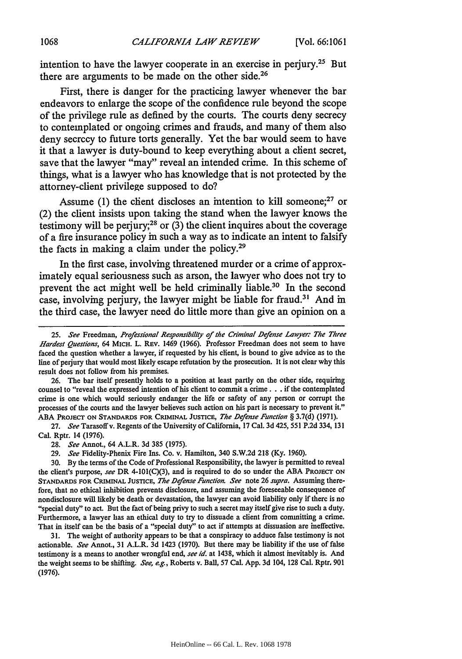intention to have the lawyer cooperate in an exercise in perjury.25 But there are arguments to be made on the other side.<sup>26</sup>

First, there is danger for the practicing lawyer whenever the bar endeavors to enlarge the scope of the confidence rule beyond the scope of the privilege rule as defined **by** the courts. The courts deny secrecy to contemplated or ongoing crimes and frauds, and many of them also deny secrecy to future torts generally. Yet the bar would seem to have it that a lawyer is duty-bound to keep everything about a chent secret, save that the lawyer "may" reveal an intended crime. In this scheme of things, what is a lawyer who has knowledge that is not protected **by** the attorney-client privilege supposed to do?

Assume (1) the chent discloses an intention to kill someone;<sup>27</sup> or (2) the client insists upon taking the stand when the lawyer knows the testimony will be perjury;<sup>28</sup> or  $(3)$  the client inquires about the coverage of a fire insurance policy in such a way as to indicate an intent to falsify the facts in making a claim under the policy.<sup>29</sup>

In the first case, involving threatened murder or a crime of approximately equal seriousness such as arson, the lawyer who does not try to prevent the act might well be held criminally liable.<sup>30</sup> In the second case, involving perjury, the lawyer might be liable for fraud.<sup>31</sup> And in the third case, the lawyer need do little more than give an opinion on a

26. The bar itself presently holds to a position at least partly on the other side, requiring counsel to "reveal the expressed intention of his client to commit a crime... if the contemplated crime is one which would seriously endanger the life or safety of any person or corrupt the processes of the courts and the lawyer believes such action on his part is necessary to prevent it." **ABA** PROJECT **ON STANDARDS** FOR CRIMINAL JUSTICE, *The Defense Function §* **3.7(d) (1971).**

27. *See* Tarasoffv. Regents of the University of California, 17 Cal. 3d 425, 551 P.2d 334, 131 Cal. Rptr. 14 (1976).

30. By the terms of the Code of Professional Responsibility, the lawyer is permitted to reveal the client's purpose, *see* DR 4-101(C)(3), and is required to do so under the ABA PROJECT **ON** STANDARDS FOR CRIMINAL JUSTICE, *The Defense Function. See* note **26** *supra.* Assuming therefore, that no ethical inhibition prevents disclosure, and assuming the foreseeable consequence of nondisclosure will likely be death or devastation, the lawyer can avoid liability only if there is no "special duty" to act. But the fact of being privy to such a secret may itself give rise to such a duty. Furthermore, a lawyer has an ethical duty to try to dissuade a client from committing a crime. That in itself can be the basis of a "special duty" to act if attempts at dissuasion are ineffective.

**3 1.** The weight of authority appears to be that a conspiracy to adduce false testimony is not actionable. *See* Annot., 31 A.L.R. 3d 1423 (1970). But there may be liability if the use of false testimony is a means to another wrongful end, *see id.* at 1438, which it almost inevitably is. And the weight seems to be shifting. *See, e.g.,* Roberts v. Ball, 57 Cal. App. 3d 104, 128 Cal. Rptr. 901 (1976).

**<sup>25.</sup>** See Freedman, *Professional Responsibility of the* **Criminal** Defense *Lawyer: The Three* Hardest Questions, 64 MICH. L. REV. 1469 (1966). Professor Freedman does not seem to have faced the question whether a lawyer, if requested by his client, is bound to give advice as to the line of perjury that would most likely escape refutation by the prosecution. It is not clear why this result does not follow from his premises.

<sup>28.</sup> *See Annot.,* 64 A.L.R. 3d 385 (1975).

<sup>29.</sup> *See* Fidelity-Phenix Fire Ins. Co. v. Hamilton, 340 S.W.2d 218 (Ky. 1960).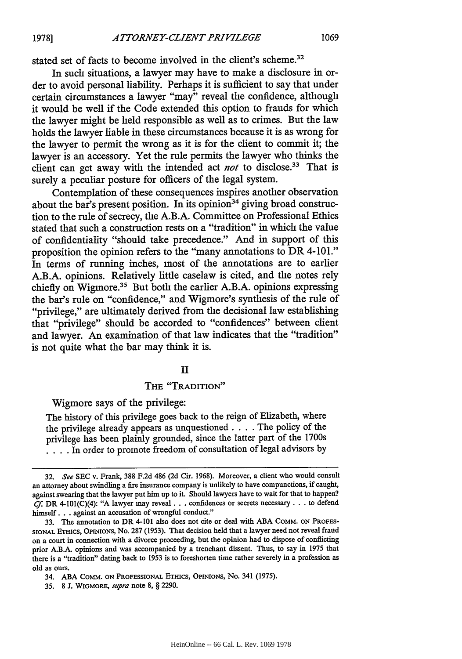stated set of facts to become involved in the client's scheme.<sup>32</sup>

In such situations, a lawyer may have to make a disclosure in order to avoid personal liability. Perhaps it is sufficient to say that under certain circumstances a lawyer "may" reveal the confidence, although it would be well if the Code extended this option to frauds for which the lawyer might be held responsible as well as to crimes. But the law holds the lawyer liable in these circumstances because it is as wrong for the lawyer to permit the wrong as it is for the client to commit it; the lawyer is an accessory. Yet the rule permits the lawyer who thinks the client can get away with the intended act *not* to disclose.33 That is surely a peculiar posture for officers of the legal system.

Contemplation of these consequences inspires another observation about the bar's present position. In its opinion<sup>34</sup> giving broad construction to the rule of secrecy, the A.B.A. Committee on Professional Ethics stated that such a construction rests on a "tradition" in which the value of confidentiality "should take precedence." And in support of this proposition the opinion refers to the "many annotations to DR 4-101." In terms of running inches, most of the annotations are to earlier A.B.A. opinions. Relatively little caselaw is cited, and the notes rely chiefly on Wigmore.<sup>35</sup> But both the earlier A.B.A. opinions expressing the bar's rule on "confidence," and Wigmore's synthesis of the rule of "privilege," are ultimately derived from the decisional law establishing that "privilege" should be accorded to "confidences" between client and lawyer. An examination of that law indicates that the "tradition" is not quite what the bar may think it is.

### II

## THE "TRADITION"

Wigmore says of the privilege:

The history of this privilege goes back to the reign of Elizabeth, where the privilege already appears as unquestioned **....** The policy of the privilege has been plainly grounded, since the latter part of the 1700s **....** In order to promote freedom of consultation of legal advisors by

<sup>32.</sup> See SEC v. Frank, 388 F.2d 486 (2d Cir. 1968). Moreover, a client who would consult an attorney about swindling a fire insurance company is unlikely to have compunctions, if caught, against swearing that the lawyer put him up to it. Should lawyers have to wait for that to happen? *Cf.* DR 4-101(C)(4): "A lawyer may reveal.. **.** confidences or secrets necessary... to defend himself... against an accusation of wrongful conduct."

<sup>33.</sup> The annotation to DR 4-101 also does not cite or deal with ABA COMM. **ON** PROFES-SIONAL **ETHICS,** OPINIONS, No. 287 (1953). That decision held that a lawyer need not reveal fraud on a court in connection with a divorce proceeding, but the opinion had to dispose of conflicting prior A.B.A. opinions and was accompanied by a trenchant dissent. Thus, to say in 1975 that there is a "tradition" dating back to 1953 is to foreshorten time rather severely in a profession as old as ours.

<sup>34.</sup> ABA COMM. **ON PROFESSIONAL ETHICS,** OPINIONS, No. 341 (1975).

<sup>35. 8</sup> J. **WicMoRE,** supra note 8, § 2290.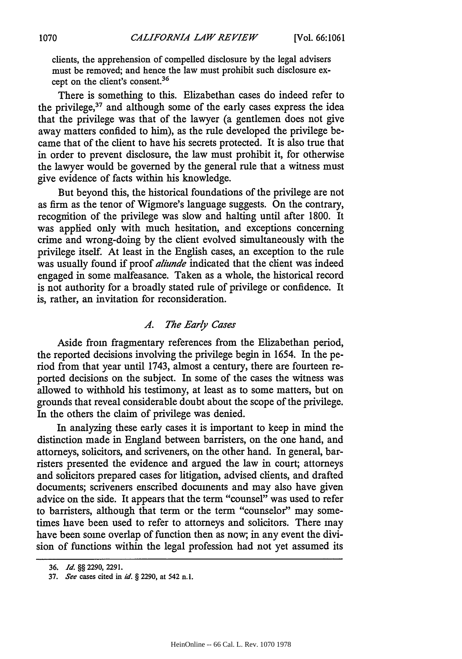clients, the apprehension of compelled disclosure by the legal advisers must be removed; and hence the law must prohibit such disclosure except on the client's consent. <sup>36</sup>

There is something to this. Elizabethan cases do indeed refer to the privilege, $37$  and although some of the early cases express the idea that the privilege was that of the lawyer (a gentlemen does not give away matters confided to him), as the rule developed the privilege became that of the client to have his secrets protected. It is also true that in order to prevent disclosure, the law must prohibit it, for otherwise the lawyer would be governed by the general rule that a witness must give evidence of facts within his knowledge.

But beyond this, the historical foundations of the privilege are not as firm as the tenor of Wigmore's language suggests. On the contrary, recognition of the privilege was slow and halting until after 1800. It was applied only with much hesitation, and exceptions concerning crime and wrong-doing by the client evolved simultaneously with the privilege itself. At least in the English cases, an exception to the rule was usually found if proof *aliunde* indicated that the chent was indeed engaged in some malfeasance. Taken as a whole, the historical record is not authority for a broadly stated rule of privilege or confidence. It is, rather, an invitation for reconsideration.

### *A. The Early Cases*

Aside from fragmentary references from the Elizabethan period, the reported decisions involving the privilege begin in 1654. In the period from that year until 1743, almost a century, there are fourteen reported decisions on the subject. In some of the cases the witness was allowed to withhold his testimony, at least as to some matters, but on grounds that reveal considerable doubt about the scope of the privilege. In the others the claim of privilege was denied.

In analyzing these early cases it is important to keep in mind the distinction made in England between barristers, on the one hand, and attorneys, solicitors, and scriveners, on the other hand. In general, barristers presented the evidence and argued the law in court; attorneys and solicitors prepared cases for litigation, advised clients, and drafted documents; scriveners enscribed documents and may also have given advice on the side. It appears that the term "counsel" was used to refer to barristers, although that term or the term "counselor" may sometimes have been used to refer to attorneys and solicitors. There may have been some overlap of function then as now; in any event the division of functions within the legal profession had not yet assumed its

**<sup>36.</sup>** *Id.* §§ **2290, 2291.**

<sup>37.</sup> *See* cases cited in *id. §* 2290, at 542 n. 1.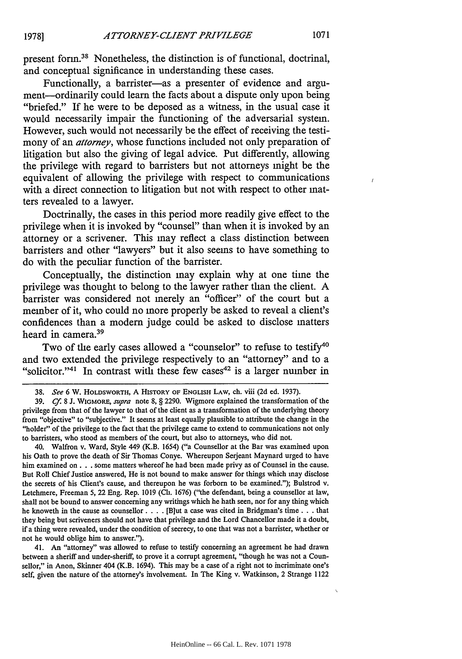present **form.38** Nonetheless, the distinction is of functional, doctrinal, and conceptual significance in understanding these cases.

Functionally, a barrister-as a presenter of evidence and argument--ordinarily could learn the facts about a dispute only upon being "briefed." If he were to be deposed as a witness, in the usual case it would necessarily impair the functioning of the adversarial system. However, such would not necessarily be the effect of receiving the testimony of an *attorney,* whose functions included not only preparation of litigation but also the giving of legal advice. Put differently, allowing the privilege with regard to barristers but not attorneys might be the equivalent of allowing the privilege with respect to communications with a direct connection to litigation but not with respect to other matters revealed to a lawyer.

Doctrinally, the cases in this period more readily give effect to the privilege when it is invoked by "counsel" than when it is invoked by an attorney or a scrivener. This may reflect a class distinction between barristers and other "lawyers" but it also seems to have something to do with the peculiar function of the barrister.

Conceptually, the distinction may explain why at one time the privilege was thought to belong to the lawyer rather than the client. **A** barrister was considered not merely an "officer" of the court but a member of it, who could no more properly be asked to reveal a client's confidences than a modern judge could be asked to disclose matters heard in camera.<sup>39</sup>

Two of the early cases allowed a "counselor" to refuse to testify<sup>40</sup> and two extended the privilege respectively to an "attorney" and to a "solicitor."<sup>41</sup> In contrast with these few cases<sup>42</sup> is a larger number in

40. Walfron v. Ward, Style 449 (K.B. 1654) ("a Counsellor at the Bar was examined upon his Oath to prove the death of Sir Thomas Conye. Whereupon Serjeant Maynard urged to have him examined **on. .** .some matters whereof he had been made privy as of Counsel in the cause. But Roll Chief Justice answered, He is not bound to make answer for things which may disclose the secrets of his Client's cause, and thereupon he was forborn to be examined."); Bulstrod v. Letchmere, Freeman 5, 22 Eng. Rep. 1019 (Ch. 1676) ("the defendant, being a counsellor at law, shall not be bound to answer concerning any writings which he hath seen, nor for any thing which he knoweth in the cause as counsellor .... [Blut a case was cited in Bridgman's time.., that they being but scriveners should not have that privilege and the Lord Chancellor made it a doubt, if a thing were revealed, under the condition of secrecy, to one that was not a barrister, whether or not he would oblige him to answer.").

41. An "attorney" was allowed to refuse to testify concerning an agreement he had drawn between a sheriff and under-sheriff, to prove it a corrupt agreement, "though he was not a Counsellor," in Anon, Skinner 404 (K.B. 1694). This may be a case of a right not to incriminate one's self, given the nature of the attorney's involvement. In The King v. Watkinson, 2 Strange 1122

**1978]**

<sup>38.</sup> *See* 6 W. HOLDSWORTH, A HISTORY OF ENGLISH LAW, ch. viii (2d ed. 1937).

<sup>39.</sup> Cf. 8 J. WIGMORE, *supra* note 8, § 2290. Wigmore explained the transformation of the privilege from that of the lawyer to that of the client as a transformation of the underlying theory from "objective" to "subjective." It seems at least equally plausible to attribute the change in the "holder" of the privilege to the fact that the privilege came to extend to communications not only to barristers, who stood as members of the court, but also to attorneys, who did not.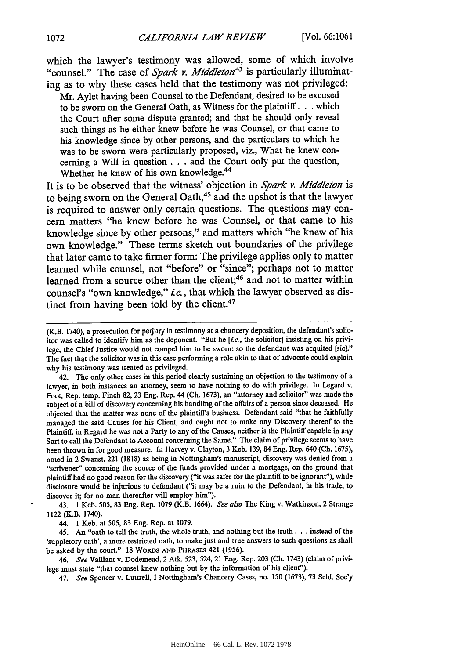which the lawyer's testimony was allowed, some of which involve "counsel." The case of Spark v. Middleton<sup>43</sup> is particularly illuminating as to why these cases held that the testimony was not privileged:

Mr. Aylet having been Counsel to the Defendant, desired to be excused to be **sworn** on the General Oath, as Witness for the plaintiff... which the Court after some dispute granted; and that he should only reveal such things as he either knew before he was Counsel, or that came to his knowledge since **by** other persons, and the particulars to which he was to be **sworn** were particularly proposed, viz., What he knew concerning a Will in question.., and the Court only put the question, Whether he knew of his own knowledge.<sup>44</sup>

It is to be observed that the witness' objection in *Spark v. Middleton* is to being sworn on the General Oath,<sup>45</sup> and the upshot is that the lawyer is required to answer only certain questions. The questions may concern matters "he knew before he was Counsel, or that came to his knowledge since **by** other persons," and matters which "he knew of his own knowledge." These terms sketch out boundaries of the privilege that later came to take firmer form: The privilege applies only to matter learned while counsel, not "before" or "since"; perhaps not to matter learned from a source other than the client;<sup>46</sup> and not to matter within counsel's "own knowledge," *i e.,* that which the lawyer observed as distinct from having been told by the chent.<sup>47</sup>

42. The only other cases in this period clearly sustaining an objection to the testimony of a lawyer, in both instances an attorney, seem to have nothing to do with privilege. In Legard v. Foot, Rep. temp. Finch 82, 23 Eng. Rep. 44 (Ch. 1673), an "attorney and solicitor" was made the subject of a bill of discovery concerning his handling of the affairs of a person since deceased, He objected that the matter was none of the plaintiffs business. Defendant said "that he faithfully managed the said Causes for his Client, and ought not to make any Discovery thereof to the Plaintiff, in Regard he was not a Party to any of the Causes, neither is the Plaintiff capable in any Sort to call the Defendant to Account concerning the Same." The claim of privilege seems to have been thrown in for good measure. In Harvey v. Clayton, 3 Keb. 139, 84 Eng. Rep. 640 (Ch. 1675), noted in 2 Swanst. 221 (1818) as being in Nottingham's manuscript, discovery was denied from a "scrivener" concerning the source of the funds provided under a mortgage, on the ground that plaintiff had no good reason for the discovery ("it was safer for the plaintiff to be ignorant"), while disclosure would be injurious to defendant ("it may be a ruin to the Defendant, in his trade, to discover it; for no man thereafter will employ him").

43. **1** Keb. 505, 83 Eng. Rep. 1079 (K.B. 1664). See also The King v. Watkinson, 2 Strange 1122 (K.B. 1740).

44. 1 Keb. at 505, 83 Eng. Rep. at 1079.

45. An "oath to tell the truth, the whole truth, and nothing but the truth **...** instead of the 'suppletory oath', a more restricted oath, to make just and true answers to such questions as shall be asked by the court." 18 WORDS **AND** PHRASES 421 (1956).

46. See Valliant v. Dodemead, 2 Atk. 523, 524, 21 Eng. Rep. 203 (Ch. 1743) (claim of privilege innst state "that counsel knew nothing but by the information of his client").

47. See Spencer v. Luttrell, I Nottingham's Chancery Cases, no. 150 (1673), 73 Seld. Soc'y

<sup>(</sup>K.B. 1740), a prosecution for perjury in testimony at a chancery deposition, the defendant's solicitor was called to identify him as the deponent. "But he [i.e., the solicitor] insisting on his privilege, the Chief Justice would not compel him to be sworn: so the defendant was acquited [sic]." The fact that the solicitor was in this case performing a role akin to that of advocate could explain why his testimony was treated as privileged.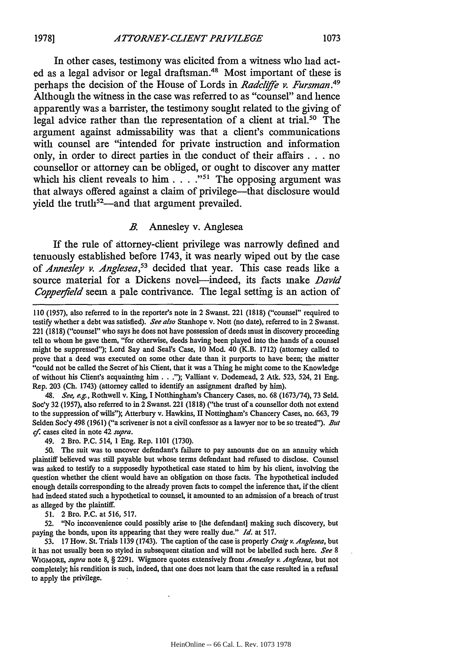In other cases, testimony was elicited from a witness who had acted as a legal advisor or legal draftsman.<sup>48</sup> Most important of these is perhaps the decision of the House of Lords in *Radcliffe v. Fursman.4 <sup>9</sup>* Although the witness in the case was referred to as "counsel" and hence apparently was a barrister, the testimony sought related to the giving of legal advice rather than the representation of a client at trial.<sup>50</sup> The argument against admissability was that a client's communications with counsel are "intended for private instruction and information only, in order to direct parties in the conduct of their affairs. **. .** no counsellor or attorney can be obliged, or ought to discover any matter which his client reveals to him . . . . "<sup>51</sup> The opposing argument was that always offered against a claim of privilege-that disclosure would vield the truth<sup>52</sup>—and that argument prevailed.

### B. Annesley v. Anglesea

If the rule of attorney-client privilege was narrowly defined and tenuously established before 1743, it was nearly wiped out **by** the case of *Annesley v. Anglesea,53* decided that year. This case reads like a source material for a Dickens novel-indeed, its facts make *David Copperfleld* seem a pale contrivance. The legal setting is an action of

48. *See, e.g.,* Rothwell v. King, I Notthingham's Chancery Cases, no. 68 (1673/74), 73 Seld. Soe'y 32 (1957), also referred to in 2 Swanst. 221 (1818) ("the trust of a counsellor doth not extend to the suppression of wills"); Atterbury v. Hawkins, II Nottingham's Chancery Cases, no. 663, 79 Selden Soe'y 498 (1961) ("a scrivener is not a civil confessor as a lawyer nor to be so treated"). *But* cf. cases cited in note 42 *supra.*

49. 2 Bro. P.C. 514, 1 Eng. Rep. 1101 (1730).

50. The suit was to uncover defendant's failure to pay amounts due on an annuity which plaintiff believed was still payable but whose terms defendant had refused to disclose. Counsel was asked to testify to a supposedly hypothetical case stated to him **by** his client, involving the question whether the client would have an obligation on those facts. The hypothetical included enough details corresponding to the already proven facts to compel the inference that, if the client had indeed stated such a hypothetical to counsel, it amounted to an admission of a breach of trust as alleged by the plaintiff.

51. 2 Bro. P.C. at 516, 517.

52. "No inconvenience could possibly arise to [the defendant] making such discovery, but paying the bonds, upon its appearing that they were really due." *Id.* at 517.

53. 17 How. St. Trials 1139 (1743). The caption of the case is properly *Craig v. Anglesea,* but it has not usually been so styled in subsequent citation and will not be labelled such here. *See 8* WIGMORE, *supra* note 8, § 2291. Wigmore quotes extensively from *Annesley v. Anglesea,* but not completely; his rendition is such, indeed, that one does not learn that the case resulted in a refusal to apply the privilege.

<sup>110 (1957),</sup> also referred to in the reporter's note in 2 Swanst. 221 (1818) ("counsel" required to testify whether a debt was satisfied). *See also* Stanhope v. Nott (no date), referred to in 2 Swanst. 221 (1818) ("counsel" who says he does not have possession of deeds must in discovery proceeding tell to whom he gave them, "for otherwise, deeds having been played into the hands of a counsel might be suppressed"); Lord Say and Seal's Case, 10 Mod. 40 (K.B. 1712) (attorney called to prove that a deed was executed on some other date than it purports to have been; the matter "could not be called the Secret of his Client, that it was a Thing he might come to the Knowledge of without his Client's acquainting him. **. .");** Valliant v. Dodemead, 2 Atk. 523, 524, 21 Eng. Rep. 203 (Ch. 1743) (attorney called to identify an assignment drafted by him).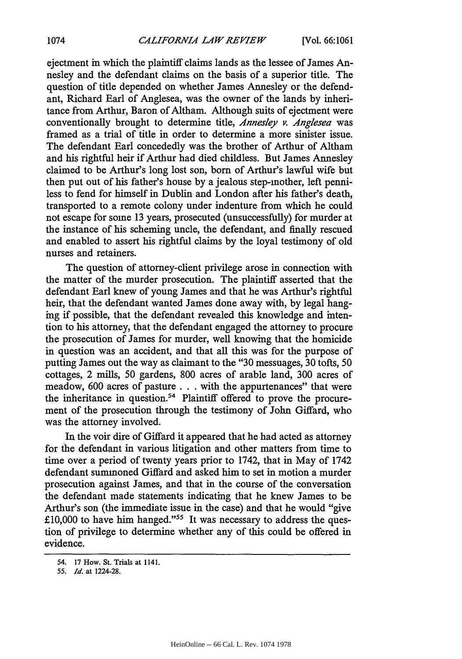ejectment in which the plaintiff claims lands as the lessee of James Annesley and the defendant claims on the basis of a superior title. The question of title depended on whether James Annesley or the defendant, Richard Earl of Anglesea, was the owner of the lands by inheritance from Arthur, Baron of Altham. Although suits of ejectment were conventionally brought to determine title, *Annesley v. Anglesea* was framed as a trial of title in order to determine a more sinister issue. The defendant Earl concededly was the brother of Arthur of Altham and his rightful heir if Arthur had died childless. But James Annesley claimed to be Arthur's long lost son, born of Arthur's lawful wife but then put out of his father's house by a jealous step-mother, left penniless to fend for himself in Dublin and London after his father's death, transported to a remote colony under indenture from which he could not escape for some 13 years, prosecuted (unsuccessfully) for murder at the instance of his scheming uncle, the defendant, and finally rescued and enabled to assert his rightful claims by the loyal testimony of old nurses and retainers.

The question of attorney-client privilege arose in connection with the matter of the murder prosecution. The plaintiff asserted that the defendant Earl knew of young James and that he was Arthur's rightful heir, that the defendant wanted James done away with, by legal hanging if possible, that the defendant revealed this knowledge and intention to his attorney, that the defendant engaged the attorney to procure the prosecution of James for murder, well knowing that the homicide in question was an accident, and that all this was for the purpose of putting James out the way as claimant to the "30 messuages, 30 tofts, 50 cottages, 2 mills, 50 gardens, 800 acres of arable land, 300 acres of meadow, 600 acres of pasture. **. .** with the appurtenances" that were the inheritance in question.<sup>54</sup> Plaintiff offered to prove the procurement of the prosecution through the testimony of John Giffard, who was the attorney involved.

In the voir dire of Giffard it appeared that he had acted as attorney for the defendant in various litigation and other matters from time to time over a period of twenty years prior to 1742, that in May of 1742 defendant summoned Giffard and asked him to set in motion a murder prosecution against James, and that in the course of the conversation the defendant made statements indicating that he knew James to be Arthur's son (the immediate issue in the case) and that he would "give £10,000 to have him hanged."<sup>55</sup> It was necessary to address the question of privilege to determine whether any of this could be offered in evidence.

<sup>54.</sup> **17** How. St. Trials at 1141.

*<sup>55.</sup> Id.* at 1224-28.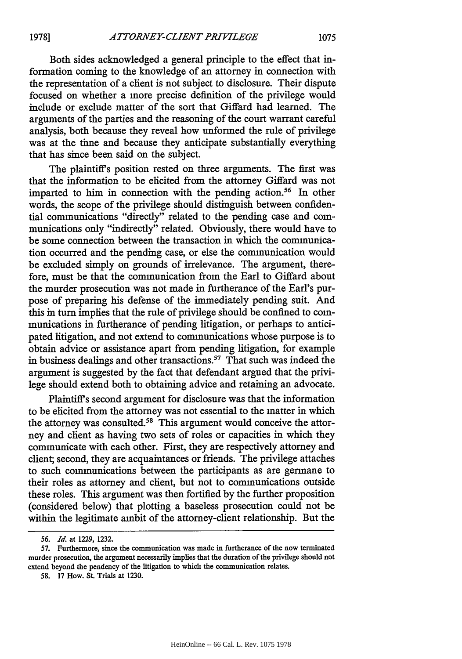Both sides acknowledged a general principle to the effect that information coming to the knowledge of an attorney in connection with the representation of a client is not subject to disclosure. Their dispute focused on whether a more precise definition of the privilege would include or exclude matter of the sort that Giffard had learned. The arguments of the parties and the reasoning of the court warrant careful analysis, both because they reveal how unformed the rule of privilege was at the time and because they anticipate substantially everything that has since been said on the subject.

The plaintiff's position rested on three arguments. The first was that the information to be elicited from the attorney Giffard was not imparted to him in connection with the pending action.<sup>56</sup> In other words, the scope of the privilege should distinguish between confidential communications "directly" related to the pending case and communications only "indirectly" related. Obviously, there would have to be some connection between the transaction in which the communication occurred and the pending case, or else the communication would be excluded simply on grounds of irrelevance. The argument, therefore, must be that the communication from the Earl to Giffard about the murder prosecution was not made in furtherance of the Earl's purpose of preparing his defense of the immediately pending suit. And this in turn implies that the rule of privilege should be confined to communications in furtherance of pending litigation, or perhaps to anticipated litigation, and not extend to communications whose purpose is to obtain advice or assistance apart from pending litigation, for example in business dealings and other transactions.<sup>57</sup> That such was indeed the argument is suggested **by** the fact that defendant argued that the privilege should extend both to obtaining advice and retaining an advocate.

Plaintiff's second argument for disclosure was that the information to be elicited from the attorney was not essential to the matter in which the attorney was consulted **. 5** This argument would conceive the attorney and client as having two sets of roles or capacities in which they communicate with each other. First, they are respectively attorney and client; second, they are acquaintances or friends. The privilege attaches to such communications between the participants as are germane to their roles as attorney and client, but not to communications outside these roles. This argument was then fortified **by** the further proposition (considered below) that plotting a baseless prosecution could not be within the legitimate ambit of the attorney-client relationship. But the

*<sup>56.</sup> Id.* at 1229, **1232.**

**<sup>57.</sup>** Furthermore, since the communication was made in furtherance of the now terminated murder prosecution, the argument necessarily implies that the duration of the privilege should not extend beyond the pendency of the litigation to which the communication relates.

**<sup>58. 17</sup>** How. St. Trials at **1230.**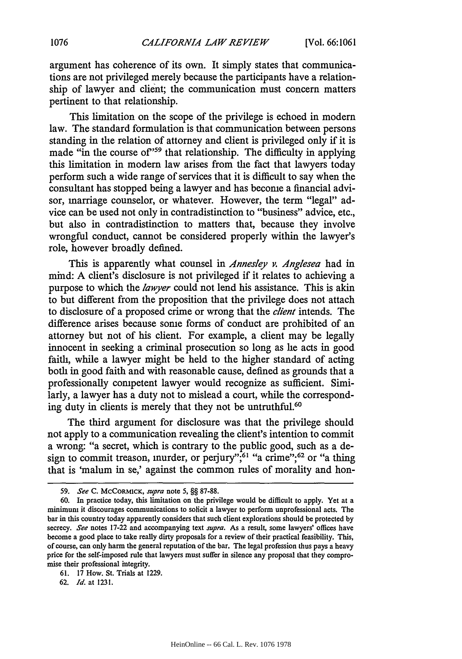argument has coherence of its own. It simply states that communications are not privileged merely because the participants have a relationship of lawyer and client; the communication must concern matters pertinent to that relationship.

This limitation on the scope of the privilege is echoed in modem law. The standard formulation is that communication between persons standing in the relation of attorney and client is privileged only if it is made "in the course of"<sup>59</sup> that relationship. The difficulty in applying this limitation in modern law arises from the fact that lawyers today perform such a wide range of services that it is difficult to say when the consultant has stopped being a lawyer and has become a financial advisor, marriage counselor, or whatever. However, the term "legal" advice can be used not only in contradistinction to "business" advice, etc., but also in contradistinction to matters that, because they involve wrongful conduct, cannot be considered properly within the lawyer's role, however broadly defined.

This is apparently what counsel in *Annesley v. Anglesea* had in mind: A client's disclosure is not privileged if it relates to achieving a purpose to which the *lawyer* could not lend his assistance. This is akin to but different from the proposition that the privilege does not attach to disclosure of a proposed crime or wrong that the *client* intends. The difference arises because some forms of conduct are prohibited of an attorney but not of his client. For example, a client may be legally innocent in seeking a criminal prosecution so long as he acts in good faith, while a lawyer might be held to the higher standard of acting both in good faith and with reasonable cause, defined as grounds that a professionally competent lawyer would recognize as sufficient. Similarly, a lawyer has a duty not to mislead a court, while the corresponding duty in clients is merely that they not be untruthful.<sup>60</sup>

The third argument for disclosure was that the privilege should not apply to a communication revealing the client's intention to commit a wrong: "a secret, which is contrary to the public good, such as a design to commit treason, murder, or perjury",<sup>61</sup> "a crime";<sup>62</sup> or "a thing that is 'malum in se,' against the common rules of morality and hon-

*<sup>59.</sup> See* **C. MCCORMICK,** *supra* **note** 5, §§ 87-88.

<sup>60.</sup> In practice today, this limitation on the privilege would be difficult to apply. Yet at a minimum it discourages communications to solicit a lawyer to perform unprofessional acts. The bar in this country today apparently considers that such client explorations should be protected by secrecy. *See* notes 17-22 and accompanying text *supra.* As a result, some lawyers' offices have become a good place to take really dirty proposals for a review of their practical feasibility. This, of course, can only harm the general reputation of the bar. The legal profession thus pays a heavy price for the self-imposed rule that lawyers must suffer in silence any proposal that they compromise their professional integrity.

<sup>61. 17</sup> How. St. Trials at 1229.

<sup>62.</sup> *Id.* at 1231.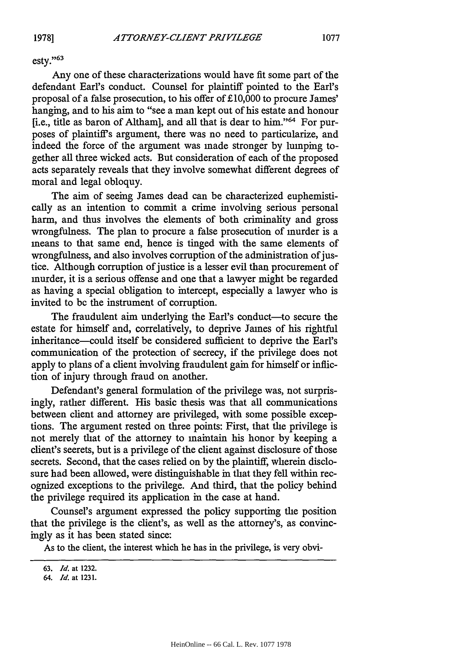esty."<sup>63</sup>

Any one of these characterizations would have fit some part of the defendant Earl's conduct. Counsel for plaintiff pointed to the Earl's proposal of a false prosecution, to his offer of £10,000 to procure James' hanging, and to his aim to "see a man kept out of his estate and honour [i.e., title as baron of Altham], and all that is dear to him."<sup>64</sup> For purposes of plaintiff's argument, there was no need to particularize, and indeed the force of the argument was made stronger **by** lumping together all three wicked acts. But consideration of each of the proposed acts separately reveals that they involve somewhat different degrees of moral and legal obloquy.

The aim of seeing James dead can be characterized euphemistically as an intention to commit a crime involving serious personal harm, and thus involves the elements of both criminality and gross wrongfulness. The plan to procure a false prosecution of murder is a means to that same end, hence is tinged with the same elements of wrongfulness, and also involves corruption of the administration of justice. Although corruption of justice is a lesser evil than procurement of murder, it is a serious offense and one that a lawyer might be regarded as having a special obligation to intercept, especially a lawyer who is invited to be the instrument of corruption.

The fraudulent aim underlying the Earl's conduct—to secure the estate for himself and, correlatively, to deprive James of his rightful inheritance—could itself be considered sufficient to deprive the Earl's communication of the protection of secrecy, if the privilege does not apply to plans of a client involving fraudulent gain for himself or infliction of injury through fraud on another.

Defendant's general formulation of the privilege was, not surprisingly, rather different. His basic thesis was that all communications between client and attorney are privileged, with some possible exceptions. The argument rested on three points: First, that the privilege is not merely that of the attorney to maintain his honor **by** keeping a client's secrets, but is a privilege of the client against disclosure of those secrets. Second, that the cases relied on **by** the plaintiff, wherein disclosure had been allowed, were distinguishable in that they fell within recognized exceptions to the privilege. And third, that the policy behind the privilege required its application in the case at hand.

Counsel's argument expressed the policy supporting the position that the privilege is the client's, as well as the attorney's, as convincingly as it has been stated since:

As to the client, the interest which he has in the privilege, is very obvi-

**<sup>63.</sup>** *Id.* at 1232.

<sup>64.</sup> *Id.* at 1231.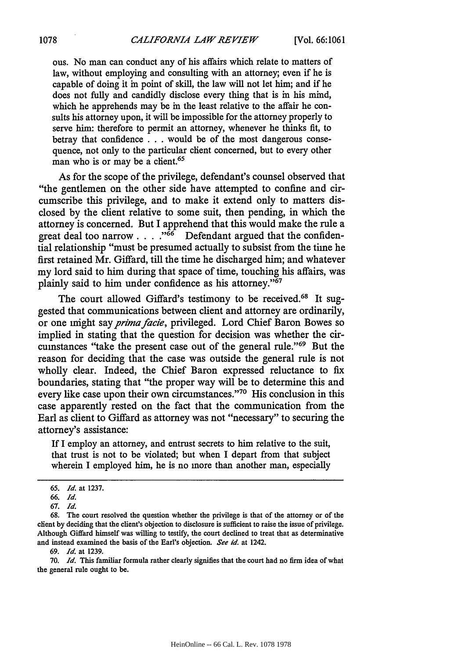ous. No man can conduct any of his affairs which relate to matters of law, without employing and consulting with an attorney; even if he is capable of doing it in point of skill, the law will not let him; and if he does not fully and candidly disclose every thing that is in his mind, which he apprehends may be in the least relative to the affair he consults his attorney upon, it will be impossible for the attorney properly to serve him: therefore to permit an attorney, whenever he thinks fit, to betray that confidence . . . would be of the most dangerous consequence, not only to the particular client concerned, but to every other man who is or may be a client.<sup>65</sup>

As for the scope of the privilege, defendant's counsel observed that "the gentlemen on the other side have attempted to confine and circumscribe this privilege, and to make it extend only to matters disclosed by the client relative to some suit, then pending, in which the attorney is concerned. But I apprehend that this would make the rule a great deal too narrow . . . . "<sup>66</sup> Defendant argued that the confidential relationship "must be presumed actually to subsist from the time he first retained Mr. Giffard, till the time he discharged him; and whatever my lord said to him during that space of time, touching his affairs, was plainly said to him under confidence as his attorney."<sup>67</sup>

The court allowed Giffard's testimony to be received.<sup>68</sup> It suggested that communications between client and attorney are ordinarily, or one might *say prima facie,* privileged. Lord Chief Baron Bowes so implied in stating that the question for decision was whether the circumstances "take the present case out of the general rule."<sup>69</sup> But the reason for deciding that the case was outside the general rule is not wholly clear. Indeed, the Chief Baron expressed reluctance to fix boundaries, stating that "the proper way will be to determine this and every like case upon their own circumstances."70 His conclusion in this case apparently rested on the fact that the communication from the Earl as client to Giffard as attorney was not "necessary" to securing the attorney's assistance:

If I employ an attorney, and entrust secrets to him relative to the suit, that trust is not to be violated; but when I depart from that subject wherein I employed him, he is no more than another man, especially

69. *Id.* at 1239.

**70.** *Id.* This familiar formula rather clearly signifies that the court had no firm idea of what the general rule ought to be.

*<sup>65.</sup> Id.* at 1237.

<sup>66.</sup> *Id.*

<sup>67.</sup> *Id.*

**<sup>68.</sup>** The court resolved the question whether the privilege is that of the attorney or of the client by deciding that the client's objection to disclosure is sufficient to raise the issue of privilege. Although Giffard himself was willing to testify, the court declined to treat that as determinative and instead examined the basis of the Earl's objection. *See id.* at 1242.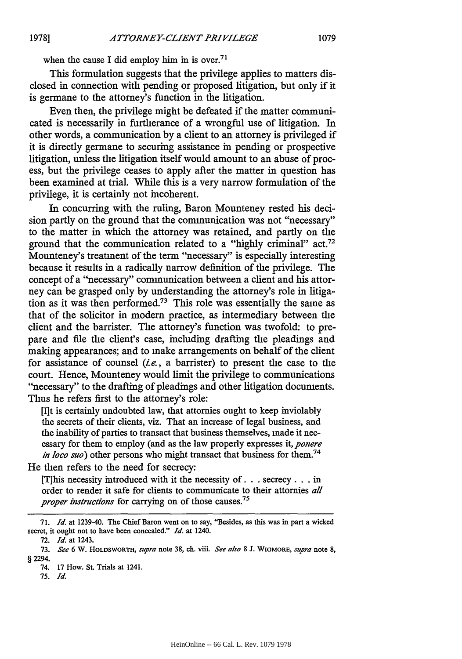when the cause I did employ him in is over.<sup>71</sup>

This formulation suggests that the privilege applies to matters disclosed in connection with pending or proposed litigation, but only if it is germane to the attorney's function in the litigation.

Even then, the privilege might be defeated if the matter communicated is necessarily in furtherance of a wrongful use of litigation. In other words, a communication by a client to an attorney is privileged if it is directly germane to securing assistance in pending or prospective litigation, unless the litigation itself would amount to an abuse of process, but the privilege ceases to apply after the matter in question has been examined at trial. While this is a very narrow formulation of the privilege, it is certainly not incoherent.

In concurring with the ruling, Baron Mounteney rested his decision partly on the ground that the communication was not "necessary" to the matter in which the attorney was retained, and partly on the ground that the communication related to a "highly criminal" act.72 Mounteney's treatment of the term "necessary" is especially interesting because it results in a radically narrow definition of the privilege. The concept of a "necessary" communication between a client and his attorney can be grasped only by understanding the attorney's role in litigation as it was then performed.73 This role was essentially the same as that of the solicitor in modem practice, as intermediary between the client and the barrister. The attorney's function was twofold: to prepare and file the client's case, including drafting the pleadings and making appearances; and to make arrangements on behalf of the client for assistance of counsel *(ie.,* a barrister) to present the case to the court. Hence, Mounteney would limit the privilege to communications "necessary" to the drafting of pleadings and other litigation documents. Thus he refers first to the attorney's role:

[I]t is certainly undoubted law, that attornies ought to keep inviolably the secrets of their clients, viz. That an increase of legal business, and the inability of parties to transact that business themselves, made it necessary for them to employ (and as the law properly expresses it, *ponere in loco suo*) other persons who might transact that business for them.<sup>74</sup>

He then refers to the need for secrecy:

[Tihis necessity introduced with it the necessity **of. .** .secrecy. **. .** in order to render it safe for clients to communicate to their attornies *all proper instructions* for carrying on of those causes.<sup>75</sup>

**75.** *Id.*

<sup>71.</sup> *Id.* at 1239-40. The Chief Baron went on to say, "Besides, as this was in part a wicked secret, it ought not to have been concealed." *Id.* at 1240.

<sup>72.</sup> *Id.* at 1243.

**<sup>73.</sup>** *See* **6** W. HOLDSWORTH, *supra* note 38, ch. viii. *See also* 8 J. WIGMORE, *SUpra* note **8,** § 2294.

<sup>74. 17</sup> How. St. Trials at 1241.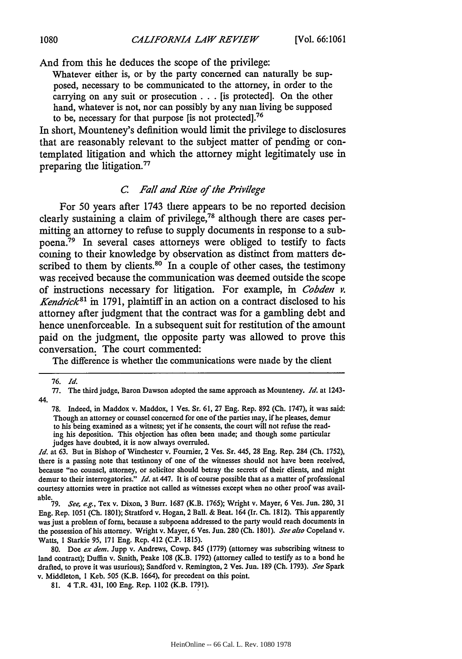And from this he deduces the scope of the privilege:

Whatever either is, or **by** the party concerned can naturally be supposed, necessary to be communicated to the attorney, in order to the carrying on any suit or prosecution. **. .** [is protected]. On the other hand, whatever is not, nor can possibly **by** any man living be supposed to be, necessary for that purpose [is not protected].<sup>76</sup>

In short, Mounteney's definition would limit the privilege to disclosures that are reasonably relevant to the subject matter of pending or contemplated litigation and which the attorney might legitimately use in preparing the litigation.77

# *C.* Fall and Rise of the Privilege

For **50** years after 1743 there appears to be no reported decision clearly sustaining a claim of privilege,78 although there are cases permitting an attorney to refuse to supply documents in response to a subpoena.79 In several cases attorneys were obliged to testify to facts coming to their knowledge **by** observation as distinct from matters described to them by clients.<sup>80</sup> In a couple of other cases, the testimony was received because the communication was deemed outside the scope of instructions necessary for litigation. For example, in *Cobden v. Kendrick*<sup>81</sup> in 1791, plaintiff in an action on a contract disclosed to his attorney after judgment that the contract was for a gambling debt and hence unenforceable. In a subsequent suit for restitution of the amount paid on the judgment, the opposite party was allowed to prove this conversation. The court commented:

The difference is whether the communications were made **by** the client

*Id.* at 63. But in Bishop of Winchester v. Fournier, 2 Ves. Sr. 445, 28 Eng. Rep. 284 (Ch. 1752), there is a passing note that testimony of one of the witnesses should not have been received, because "no counsel, attorney, or solicitor should betray the secrets of their clients, and might demur to their interrogatories." *Id.* at 447. It is of course possible that as a matter of professional courtesy attornies were in practice not called as witnesses except when no other proof was available.<br>79. *See, e.g*., Tex v. Dixon, 3 Burr. 1687 (K.B. 1765); Wright v. Mayer, 6 Ves. Jun. 280, 31

Eng. Rep. 1051 (Ch. 1801); Stratford v. Hogan, 2 Ball. & Beat. 164 (Ir. Ch. 1812). This apparently was just a problem of form, because a subpoena addressed to the party would reach documents in the possession of his attorney. Wright v. Mayer, 6 Ves. Jun. 280 (Ch. 1801). *See also* Copeland v. Watts, I Starkie **95,** 171 Eng. Rep. 412 (C.P. 1815).

80. Doe *ex dem.* Jupp v. Andrews, Cowp. 845 (1779) (attorney was subscribing witness to land contract); Duffin v. Smith, Peake 108 (K.B. 1792) (attorney called to testify as to a bond he drafted, to prove it was usurious); Sandford v. Remington, 2 Ves. Jun. 189 (Ch. 1793). *See* Spark v. Middleton, I Keb. 505 (K.B. 1664), for precedent on this point.

<sup>76.</sup> *Id.*

<sup>77.</sup> The third judge, Baron Dawson adopted the same approach as Mounteney. *Id.* at 1243- 44.

<sup>78.</sup> Indeed, in Maddox v. Maddox, **I** Ves. Sr. 61, 27 Eng. Rep. 892 (Ch. 1747), it was said: Though an attorney or counsel concerned for one of the parties may, if he pleases, demur to his being examined as a witness; yet if he consents, the court will not refuse the reading his deposition. This objection has often been made; and though some particular judges have doubted, it is now always overruled.

<sup>81. 4</sup> T.R. 431, 100 Eng. Rep. 1102 (K.B. 1791).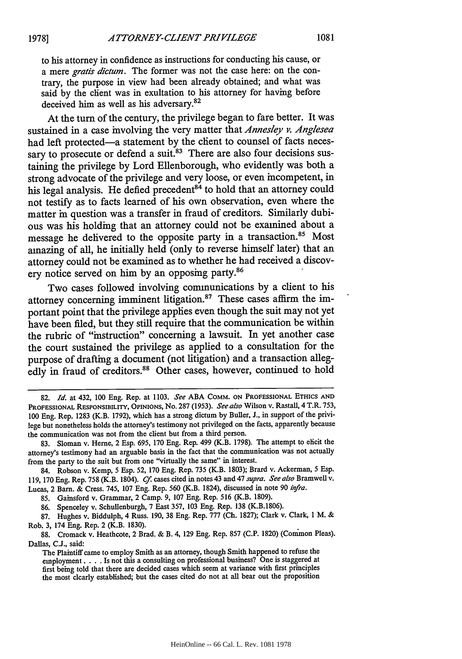to his attorney in confidence as instructions for conducting his cause, or a mere *gratis dictum.* The former was not the case here: on the contrary, the purpose in view had been already obtained; and what was said by the client was in exultation to his attorney for having before deceived him as well as his adversary.<sup>82</sup>

At the turn of the century, the privilege began to fare better. It was sustained in a case involving the very matter that *Annesley v. Anglesea* had left protected-a statement by the chent to counsel of facts necessary to prosecute or defend a suit.<sup>83</sup> There are also four decisions sustaining the privilege **by** Lord Ellenborough, who evidently was both a strong advocate of the privilege and very loose, or even incompetent, in his legal analysis. He defied precedent<sup>84</sup> to hold that an attorney could not testify as to facts learned of his own observation, even where the matter in question was a transfer in fraud of creditors. Similarly dubious was his holding that an attorney could not be examined about a message he delivered to the opposite party in a transaction.<sup>85</sup> Most amazing of all, he initially held (only to reverse himself later) that an attorney could not be examined as to whether he had received a discovery notice served on him by an opposing party.<sup>86</sup>

Two cases followed involving communications **by** a client to his attorney concerning imminent litigation.87 These cases affirm the important point that the privilege applies even though the suit may not yet have been filed, but they still require that the communication be within the rubric of "instruction" concerning a lawsuit. In yet another case the court sustained the privilege as applied to a consultation for the purpose of drafting a document (not litigation) and a transaction allegedly in fraud of creditors.<sup>88</sup> Other cases, however, continued to hold

**<sup>82.</sup>** *Id.* at 432, 100 Eng. Rep. at 1103. *See* ABA COMM. ON PROFESSIONAL ETHICS **AND** PROFESSIONAL RESPONSIBILITY, OPINIONS, No. 287 (1953). *See also* Wilson v. Rastall, 4 T.R. 753, **100** Eng. Rep. 1283 (K.B. 1792), which has a strong dictum **by** Buller, J., in support of the privilege but nonetheless holds the attorney's testimony not privileged on the facts, apparently because the communication was not from the client but from a third person.

**<sup>83.</sup>** Sloman v. Herne, 2 Esp. 695, 170 Eng. Rep. 499 (K.B. 1798). The attempt to elicit the attorney's testimony had an arguable basis in the fact that the communication was not actually from the party to the suit but from one "virtually the same" in interest.

<sup>84.</sup> Robson v. Kemp, 5 Esp. 52, 170 Eng. Rep. 735 (K.B. 1803); Brard v. Ackerman, 5 Esp. 119, 170 Eng. Rep. 758 (K.B. 1804). *Cf.* cases cited in notes 43 and 47 *supra. See also* Bramwell v. Lucas, 2 Barn. & Cress. 745, 107 Eng. Rep. 560 (K.B. 1824), discussed in note 90 *infra.*

<sup>85.</sup> Gainsford v. Grammar, 2 Camp. 9, 107 Eng. Rep. 516 (K.B. 1809).

<sup>86.</sup> Spenceley v. Schullenburgh, 7 East 357, 103 Eng. Rep. 138 (K.B.1806).

<sup>87.</sup> Hughes v. Biddulph, 4 Russ. 190, 38 Eng. Rep. 777 (Ch. 1827); Clark v. Clark, I M. & Rob. 3, 174 Eng. Rep. 2 (K.B. 1830).

<sup>88.</sup> Cromack v. Heathcote, 2 Brad. & B. 4, 129 Eng. Rep. 857 (C.P. 1820) (Common Pleas). Dallas, C.J., said:

The Plaintiff came to employ Smith as an attorney, though Smith happened to refuse the employment **....** Is not this a consulting on professional business? One is staggered at first being told that there are decided cases which seem at variance with first principles the most clearly established; but the cases cited do not at all bear out the proposition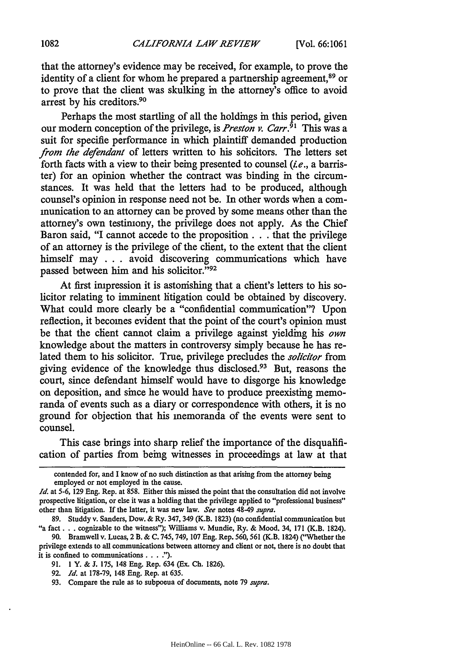that the attorney's evidence may be received, for example, to prove the identity of a client for whom he prepared a partnership agreement, 89 or to prove that the client was skulking in the attorney's office to avoid arrest by his creditors.90

Perhaps the most startling of all the holdings in this period, given our modern conception of the privilege, is *Preston v. Carr*.<sup>51</sup> This was a suit for specific performance in which plaintiff demanded production *from the defendant* of letters written to his solicitors. The letters set forth facts with a view to their being presented to counsel *(Ie.,* a barrister) for an opinion whether the contract was binding in the circumstances. It was held that the letters had to be produced, although counsel's opinion in response need not be. In other words when a communication to an attorney can be proved by some means other than the attorney's own testimony, the privilege does not apply. As the Chief Baron said, "I cannot accede to the proposition. **. .** that the privilege of an attorney is the privilege of the client, to the extent that the client himself may . . . avoid discovering communications which have passed between him and his solicitor."<sup>92</sup>

At first impression it is astomishing that a client's letters to his solicitor relating to imminent litigation could be obtained by discovery. What could more clearly be a "confidential communication"? Upon reflection, it becomes evident that the point of the court's opinion must be that the client cannot claim a privilege against yielding his *own* knowledge about the matters in controversy simply because he has related them to his solicitor. True, privilege precludes the *solicitor* from giving evidence of the knowledge thus disclosed.93 But, reasons the court, since defendant himself would have to disgorge his knowledge on deposition, and since he would have to produce preexisting memoranda of events such as a diary or correspondence with others, it is no ground for objection that his memoranda of the events were sent to counsel.

This case brings into sharp relief the importance of the disqualification of parties from being witnesses in proceedings at law at that

contended for, and I know of no such distinction as that arising from the attorney being employed or not employed in the cause.

*Id.* at 5-6, 129 Eng. Rep. at 858. Either this missed the point that the consultation did not involve prospective litigation, or else it was a holding that the privilege applied to "professional business" other than litigation. If the latter, it was new law. *See* notes 48-49 supra.

<sup>89.</sup> Studdy v. Sanders, Dow. & Ry. 347, 349 (K.B. 1823) (no confidential communication but "a fact. **. .** cognizable to the witness"); Williams v. Mundie, Ry. & Mood. 34, 171 (K.B. 1824).

<sup>90.</sup> Bramwell v. Lucas, 2 B. & C. 745,749, 107 Eng. Rep. 560, 561 (K.B. 1824) ("Whether the privilege extends to all communications between attorney and client or not, there is no doubt that it is confined to communications **....').**

<sup>91. 1</sup> Y. & J. 175, 148 Eng. Rep. 634 (Ex. Ch. 1826).

<sup>92.</sup> *Id.* at 178-79, 148 Eng. Rep. at 635.

**<sup>93.</sup>** Compare the rule as to subpoena of documents, note **79** *supra.*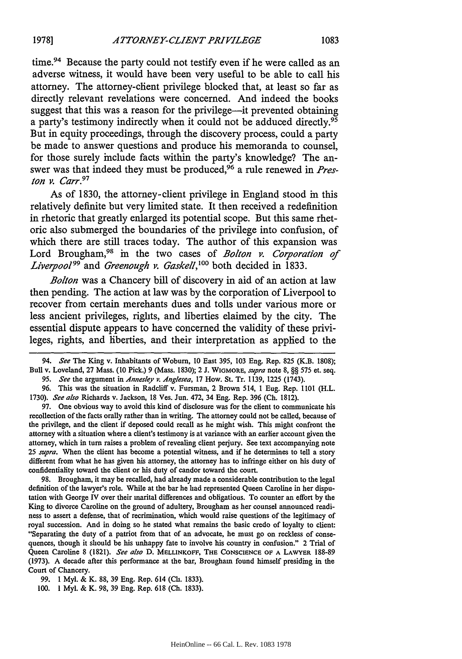time.<sup>94</sup> Because the party could not testify even if he were called as an adverse witness, it would have been very useful to be able to call his attorney. The attorney-client privilege blocked that, at least so far as directly relevant revelations were concerned. And indeed the books suggest that this was a reason for the privilege—it prevented obtaining a party's testimony indirectly when it could not be adduced directly.<sup>95</sup> But in equity proceedings, through the discovery process, could a party be made to answer questions and produce his memoranda to counsel, for those surely include facts within the party's knowledge? The answer was that indeed they must be produced,96 a rule renewed in *Pres-Ion v. Carr.97*

As of **1830,** the attorney-client privilege in England stood in this relatively definite but very limited state. It then received a redefinition in rhetoric that greatly enlarged its potential scope. But this same rhetoric also submerged the boundaries of the privilege into confusion, of which there are still traces today. The author of this expansion was Lord Brougham,98 in the two cases of *Bolton v. Corporation of Liverpool99* and *Greenough v. Gaskell, °0°* both decided in **1833.**

*Bolton* was a Chancery bill of discovery in aid of an action at law then pending. The action at law was **by** the corporation of Liverpool to recover from certain merchants dues and tolls under various more or less ancient privileges, rights, and liberties claimed **by** the city. The essential dispute appears to have concerned the validity of these privileges, rights, and liberties, and their interpretation as applied to the

94. *See* The King v. Inhabitants of Woburn, 10 East 395, 103 Eng. Rep. 825 (K.B. 1808); Bull v. Loveland, 27 Mass. (10 Pick.) 9 (Mass. 1830); 2 J. WIGMORE, *supra* note 8, §§ 575 et. seq.

95. *See* the argument in *4nnesley v. Anglesea,* 17 How. St. Tr. 1139, 1225 (1743). 96. This was the situation in Radcliff v. Fursman, 2 Brown 514, **1** Eng. Rep. 1101 (H.L. 1730). *See also* Richards v. Jackson, 18 Ves. Jun. 472, 34 Eng. Rep. 396 (Ch. 1812).

**97.** One obvious way to avoid this kind of disclosure was for the client to communicate his recollection of the facts orally rather than in writing. The attorney could not be called, because of the privilege, and the client if deposed could recall as he might wish. This might confront the attorney with a situation where a client's testimony is at variance with an earlier account given the attorney, which in turn raises a problem of revealing client perjury. See text accompanying note 25 *supra.* When the client has become a potential witness, and if he determines to tell a story different from what he has given his attorney, the attorney has to infringe either on his duty of confidentiality toward the client or his duty of candor toward the court.

98. Brougham, it may be recalled, had already made a considerable contribution to the legal definition of the lawyer's role. While at the bar he had represented Queen Caroline in her disputation with George IV over their marital differences and obligations. To counter an effort by the King to divorce Caroline on the ground of adultery, Brougham as her counsel announced readiness to assert a defense, that of recrimination, which would raise questions of the legitimacy of royal succession. And in doing so he stated what remains the basic credo of loyalty to client: "Separating the duty of a patriot from that of an advocate, he must go on reckless of consequences, though it should be his unhappy fate to involve his country in confusion." 2 Trial of Queen Caroline 8 (1821). *See also* D. MELLINKOFF, THE **CONSCIENCE** OF **A** LAWYER 188-89 (1973). A decade after this performance at the bar, Brougham found himself presiding in the Court of Chancery.

99. **1** Myl. & K. 88, 39 Eng. Rep. 614 (Ch. 1833).

100. 1 Myl. & K. 98, 39 Eng. Rep. 618 (Ch. 1833).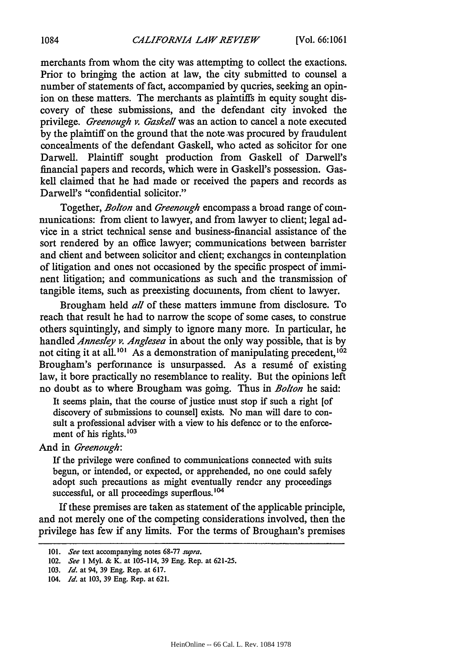merchants from whom the city was attempting to collect the exactions. Prior to bringing the action at law, the city submitted to counsel a number of statements of fact, accompanied by queries, seeking an opinion on these matters. The merchants as plaintiffs in equity sought discovery of these submissions, and the defendant city invoked the privilege. *Greenough v. Gaskell* was an action to cancel a note executed by the plaintiff on the ground that the note was procured by fraudulent concealments of the defendant Gaskell, who acted as solicitor for one Darwell. Plaintiff sought production from Gaskell of Darwell's financial papers and records, which were in Gaskell's possession. Gaskell claimed that he had made or received the papers and records as Darwell's "confidential solicitor."

Together, *Bolton* and *Greenough* encompass a broad range of communications: from client to lawyer, and from lawyer to client; legal advice in a strict technical sense and business-financial assistance of the sort rendered by an office lawyer; communications between barrister and client and between solicitor and client; exchanges in contemplation of litigation and ones not occasioned by the specific prospect of imminent litigation; and communications as such and the transmission of tangible items, such as preexisting documents, from client to lawyer.

Brougham held *all* of these matters immune from disclosure. To reach that result he had to narrow the scope of some cases, to construe others squintingly, and simply to ignore many more. In particular, he handled *Annesley v. Anglesea* in about the only way possible, that is by not citing it at all.<sup>101</sup> As a demonstration of manipulating precedent,  $102$ Brougham's performance is unsurpassed. As a resume of existing law, it bore practically no resemblance to reality. But the opinions left no doubt as to where Brougham was going. Thus in *Bolton* he said:

It seems plain, that the course of justice must stop if such a right [of discovery of submissions to counsel] exists. No man will dare to consult a professional adviser with a view to his defence or to the enforcement of his rights.<sup>103</sup>

And in *Greenough:*

If the privilege were confined to communications connected with suits begun, or intended, or expected, or apprehended, no one could safely adopt such precautions as might eventually render any proceedings successful, or all proceedings superflous.<sup>104</sup>

If these premises are taken as statement of the applicable principle, and not merely one of the competing considerations involved, then the privilege has few if any limits. For the terms of Brougham's premises

**<sup>101.</sup>** *See* text accompanying notes 68-77 *supra.*

<sup>102.</sup> *See* **I Myl. &** K. at 105-1 14, **39** Eng. Rep. at **621-25.**

<sup>103.</sup> *Id.* at 94, **39** Eng. Rep. at **617.**

*<sup>104.</sup> Id.* at **103, 39** Eng. Rep. at **621.**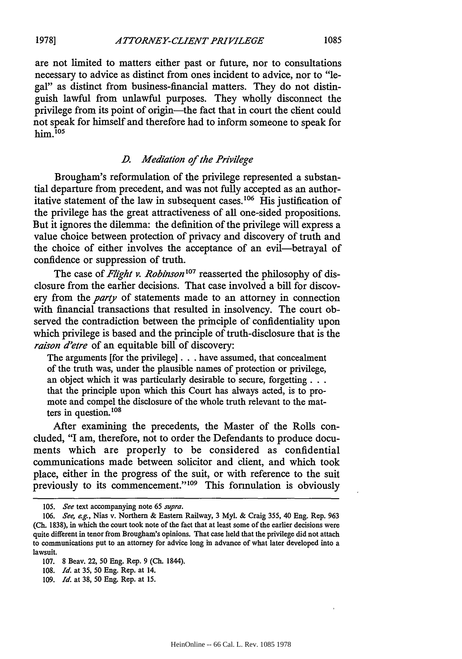are not limited to matters either past or future, nor to consultations necessary to advice as distinct from ones incident to advice, nor to "legal" as distinct from business-financial matters. They do not distinguish lawful from unlawful purposes. They wholly disconnect the privilege from its point of origin-the fact that in court the client could not speak for himself and therefore had to inform someone to speak for him. $105$ 

# *D. Mediation of* the *Privilege*

Brougham's reformulation of the privilege represented a substantial departure from precedent, and was not fully accepted as an authoritative statement of the law in subsequent cases.<sup>106</sup> His justification of the privilege has the great attractiveness of all one-sided propositions. But it ignores the dilemma: the definition of the privilege will express a value choice between protection of privacy and discovery of truth and the choice of either involves the acceptance of an evil—betrayal of confidence or suppression of truth.

The case of Flight v. Robinson<sup>107</sup> reasserted the philosophy of disclosure from the earlier decisions. That case involved a bill for discovery from the *party* of statements made to an attorney in connection with financial transactions that resulted in insolvency. The court observed the contradiction between the principle of confidentiality upon which privilege is based and the principle of truth-disclosure that is the *raison d'etre* of an equitable bill of discovery:

The arguments [for the privilege]. **. .** have assumed, that concealment of the truth was, under the plausible names of protection or privilege, an object which it was particularly desirable to secure, forgetting... that the principle upon which this Court has always acted, is to promote and compel the disclosure of the whole truth relevant to the matters in question.<sup>108</sup>

After examining the precedents, the Master of the Rolls concluded, "I am, therefore, not to order the Defendants to produce documents which are properly to be considered as confidential communications made between solicitor and client, and which took place, either in the progress of the suit, or with reference to the suit previously to its commencement."<sup>109</sup> This formulation is obviously

**<sup>105.</sup>** *See* text accompanying note 65 *supra.*

*<sup>106.</sup> See, e.g.,* Nias v. Northern & Eastern Railway, 3 **Myl.** & Craig 355, 40 Eng. Rep. 963 (Ch. 1838), in which the court took note of the fact that at least some of the earlier decisions were quite different in tenor from Brougham's opinions. That case held that the privilege did not attach to communications put to an attorney for advice long in advance of what later developed into a lawsuit.

<sup>107.</sup> **8** Beav. 22, 50 Eng. Rep. 9 (Ch. 1844).

**<sup>108.</sup>** *Id.* at 35, 50 Eng. Rep. at 14.

**<sup>109.</sup>** *Id.* at 38, 50 Eng. Rep. at **15.**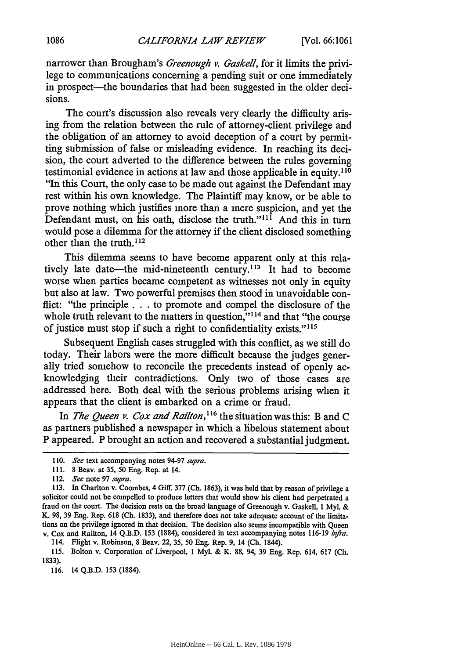narrower than Brougham's *Greenough v. Gaskell,* for it limits the privilege to communications concerning a pending suit or one immediately in prospect—the boundaries that had been suggested in the older decisions.

The court's discussion also reveals very clearly the difficulty arising from the relation between the rule of attorney-client privilege and the obligation of an attorney to avoid deception of a court by permitting submission of false or misleading evidence. In reaching its decision, the court adverted to the difference between the rules governing testimonial evidence in actions at law and those applicable in equity.110 "In this Court, the only case to be made out against the Defendant may rest within his own knowledge. The Plaintiff may know, or be able to prove nothing which justifies more than a mere suspicion, and yet the Defendant must, on his oath, disclose the truth." $11\bar{1}$  And this in turn would pose a dilemma for the attorney if the client disclosed something other than the truth. $112$ 

This dilemma seems to have become apparent only at this relatively late date—the mid-nineteenth century.<sup>113</sup> It had to become worse when parties became competent as witnesses not only in equity but also at law. Two powerful premises then stood in unavoidable conffict: "the principle. **. .** to promote and compel the disclosure of the whole truth relevant to the matters in question,"<sup>114</sup> and that "the course of justice must stop if such a right to confidentiality exists."<sup>115</sup>

Subsequent English cases struggled with this conflict, as we still do today. Their labors were the more difficult because the judges generally tried somehow to reconcile the precedents instead of openly acknowledging their contradictions. Only two of those cases are addressed here. Both deal with the serious problems arising when it appears that the client is embarked on a crime or fraud.

In *The Queen v. Cox and Railton*,<sup>116</sup> the situation was this: B and C as partners published a newspaper in which a libelous statement about P appeared. P brought an action and recovered a substantial judgment.

<sup>110.</sup> *See* text accompanying notes 94-97 *supra.*

**I** 11. **8** Beav. at 35, 50 Eng. Rep. at 14.

<sup>112.</sup> *See* note 97 supra.

<sup>113.</sup> In Charlton v. Coombes, 4 **Gift.** 377 (Ch. 1863), it was held that by reason of privilege a solicitor could not be compelled to produce letters that would show his client had perpetrated a fraud on the court. The decision rests on the broad language of Greenough v. Gaskell, 1 **Myl.** & K. **98, 39** Eng. Rep. **618** (Ch. 1833), and therefore does not take adequate account of the limitations on the privilege ignored in that decision. The decision also seems incompatible with Queen v. Cox and Railton, 14 **Q.B.D. 153** (1884), considered in text accompanying notes **116-19 infra.**

<sup>114.</sup> Flight v. Robinson, 8 Beav. 22, **35, 50** Eng. Rep. 9, 14 (Ch. 1844).

<sup>115.</sup> Bolton v. Corporation of Liverpool, 1 Myl. & K. 88, 94, **39** Eng. Rep. 614, **617** (Ch. **1833).**

<sup>116. 14</sup> **Q.B.D. 153** (1884).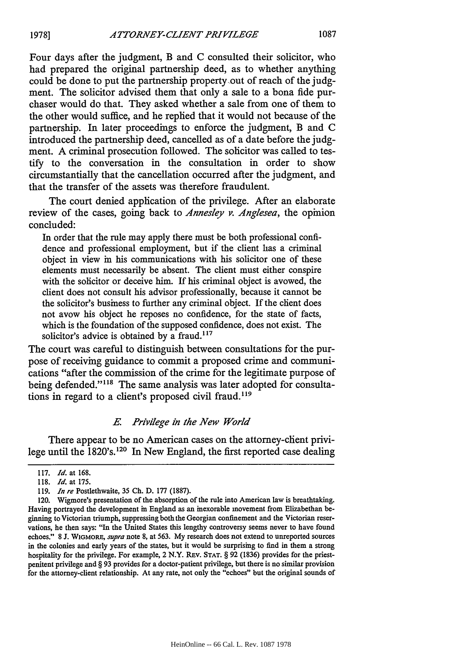Four days after the judgment, B and C consulted their solicitor, who had prepared the original partnership deed, as to whether anything could be done to put the partnership property-out of reach of the judgment. The solicitor advised them that only a sale to a bona fide purchaser would do that. They asked whether a sale from one of them to the other would suffice, and he replied that it would not because of the partnership. In later proceedings to enforce the judgment, B and C introduced the partnership deed, cancelled as of a date before the judgment. A criminal prosecution followed. The solicitor was called to testify to the conversation in the consultation in order to show circumstantially that the cancellation occurred after the judgment, and that the transfer of the assets was therefore fraudulent.

The court denied application of the privilege. After an elaborate review of the cases, going back to *Annesley v. Anglesea,* the opinion concluded:

In order that the rule may apply there must be both professional confidence and professional employment, but if the client has a criminal object in view in his communications with his solicitor one of these elements must necessarily be absent. The client must either conspire with the solicitor or deceive him. If his criminal object is avowed, the client does not consult his advisor professionally, because it cannot be the solicitor's business to further any criminal object. If the client does not avow his object he reposes no confidence, for the state of facts, which is the foundation of the supposed confidence, does not exist. The solicitor's advice is obtained by a fraud.<sup>117</sup>

The court was careful to distinguish between consultations for the purpose of receiving guidance to commit a proposed crime and communications "after the commission of the crime for the legitimate purpose of being defended."<sup>118</sup> The same analysis was later adopted for consultations in regard to a client's proposed civil fraud.<sup>119</sup>

# *E Privilege in the New World*

There appear to be no American cases on the attorney-chent privilege until the 1820's.'20 In New England, the first reported case dealing

**<sup>117.</sup>** *Id.* at **168.**

**<sup>118.</sup>** *Id.* at **175.**

<sup>119.</sup> *In re* Postlethwaite, 35 Ch. D. 177 (1887).

<sup>120.</sup> Wigmore's presentation of the absorption of the rule into American law is breathtaking. Having portrayed the development in England as an inexorable movement from Elizabethan beginning to Victorian triumph, suppressing both the Georgian confinement and the Victorian reservations, he then says: "In the United States this lengthy controversy seems never to have found echoes." 8 J. WIGMORE, supra note 8, at 563. My research does not extend to unreported sources in the colonies and early years of the states, but it would be surprising to find in them a strong hospitality for the privilege. For example, 2 N.Y. Rav. **STAT.** § 92 (1836) provides for the priestpenitent privilege and § 93 provides for a doctor-patient privilege, but there is no similar provision for the attorney-client relationship. At any rate, not only the "echoes" but the original sounds of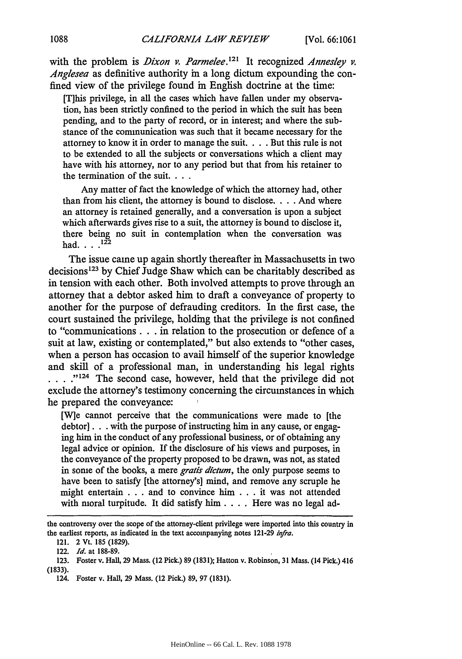with the problem is *Dixon v. Parmelee*.<sup>121</sup> It recognized *Annesley v. Anglesea* as definitive authority in a long dictum expounding the confined view of the privilege found in English doctrine at the time:

[T]his privilege, in all the cases which have fallen under my observation, has been strictly confined to the period in which the suit has been pending, and to the party of record, or in interest; and where the substance of the communication was such that it became necessary for the attorney to know it in order to manage the suit **....** But this rule is not to be extended to all the subjects or conversations which a client may have with his attorney, nor to any period but that from his retainer to the termination of the suit. . . .

Any matter of fact the knowledge of which the attorney had, other than from his client, the attorney is bound to disclose **....** And where an attorney is retained generally, and a conversation is upon a subject which afterwards gives rise to a suit, the attorney is bound to disclose it, there being no suit in contemplation when the conversation was had. . **<sup>122</sup>**

The issue came up again shortly thereafter in Massachusetts in two decisions<sup>123</sup> by Chief Judge Shaw which can be charitably described as in tension with each other. Both involved attempts to prove through an attorney that a debtor asked him to draft a conveyance of property to another for the purpose of defrauding creditors. In the first case, the court sustained the privilege, holding that the privilege is not confined to "communications. **.** .in relation to the prosecution or defence of a suit at law, existing or contemplated," but also extends to "other cases, when a person has occasion to avail himself of the superior knowledge and skill of a professional man, in understanding his legal rights . . . . "<sup>124</sup> The second case, however, held that the privilege did not exclude the attorney's testimony concerning the circumstances in which he prepared the conveyance:

[W]e cannot perceive that the communications were made to [the debtor]. **. .** with the purpose of instructing him in any cause, or engaging him in the conduct of any professional business, or of obtaining any legal advice or opinion. If the disclosure of his views and purposes, in the conveyance of the property proposed to be drawn, was not, as stated in some of the books, a mere *gratis dictum,* the only purpose seems to have been to satisfy [the attorney's] mind, and remove any scruple he might entertain **.. .**and to convince him **.. .**it was not attended with moral turpitude. It did satisfy him . . . . Here was no legal ad-

the controversy over the scope of the attorney-client privilege were imported into this country in the earliest reports, as indicated in the text accompanying notes **121-29** *infra.*

<sup>121. 2</sup> Vt. **185 (1829).**

<sup>122.</sup> *Id.* at **188-89.**

**<sup>123.</sup>** Foster v. Hall **29** Mass. (12 Pick.) **89 (1831);** Hatton v. Robinson, **31** Mass. (14 Pick.) 416 (1833).

<sup>124.</sup> Foster v. Hall, 29 Mass. (12 Pick.) 89, 97 (1831).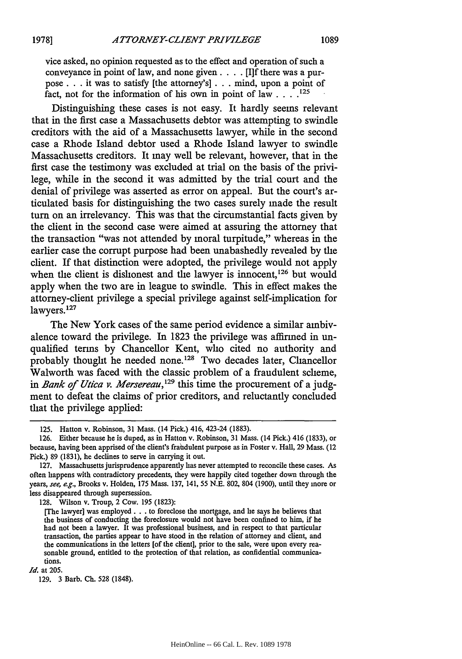vice asked, no opinion requested as to the effect and operation of such a conveyance in point of law, and none given **.... [I]f** there was a purpose **. . .** it was to satisfy [the attorney's] . **. .** mind, upon a point of fact, not for the information of his own in point of law. **.... <sup>125</sup>**

Distinguishing these cases is not easy. It hardly seems relevant that in the first case a Massachusetts debtor was attempting to swindle creditors with the aid of a Massachusetts lawyer, while in the second case a Rhode Island debtor used a Rhode Island lawyer to swindle Massachusetts creditors. It may well be relevant, however, that in the first case the testimony was excluded at trial on the basis of the privilege, while in the second it was admitted by the trial court and the denial of privilege was asserted as error on appeal. But the court's articulated basis for distinguishing the two cases surely made the result turn on an irrelevancy. This was that the circumstantial facts given by the client in the second case were aimed at assuring the attorney that the transaction "was not attended by moral turpitude," whereas in the earlier case the corrupt purpose had been unabashedly revealed by the client. If that distinction were adopted, the privilege would not apply when the client is dishonest and the lawyer is innocent,  $126$  but would apply when the two are in league to swindle. This in effect makes the attorney-client privilege a special privilege against self-implication for lawyers.<sup>127</sup>

The New York cases of the same period evidence a similar ambivalence toward the privilege. In 1823 the privilege was affirmed in unqualified terms by Chancellor Kent, who cited no authority and probably thought he needed none.<sup>128</sup> Two decades later, Chancellor Walworth was faced with the classic problem of a fraudulent scheme, in *Bank of Utica v. Mersereau*,<sup>129</sup> this time the procurement of a judgment to defeat the claims of prior creditors, and reluctantly concluded that the privilege applied:

128. Wilson v. Troup, 2 Cow. 195 (1823):

*Id.* at 205.

129. 3 Barb. Ch. 528 (1848).

<sup>125.</sup> Hatton v. Robinson, 31 Mass. (14 Pick.) 416, 423-24 (1883).

<sup>126.</sup> Either because he is duped, as in Hatton v. Robinson, 31 Mass. (14 Pick.) 416 (1833), or because, having been apprised of the client's frandulent purpose as in Foster v. Hall, 29 Mass. (12 Pick.) 89 (1831), he declines to serve in carrying it out.

<sup>127.</sup> Massachusetts jurisprudence apparently has never attempted to reconcile these cases. As often happens with contradictory precedents, they were happily cited together down through the years, see, e.g., Brooks v. Holden, 175 Mass. 137, 141, 55 N.E. 802, 804 (1900), until they more or less disappeared through supersession.

<sup>[</sup>The lawyer] was employed. **. .** to foreclose the mortgage, and he says he believes that the business of conducting the foreclosure would not have been confined to him, if he had not been a lawyer. It was professional business, and in respect to that particular transaction, the parties appear to have stood in the relation of attorney and client, and the communications in the letters [of the client], prior to the sale, were upon every reasonable ground, entitled to the protection of that relation, as confidential communications.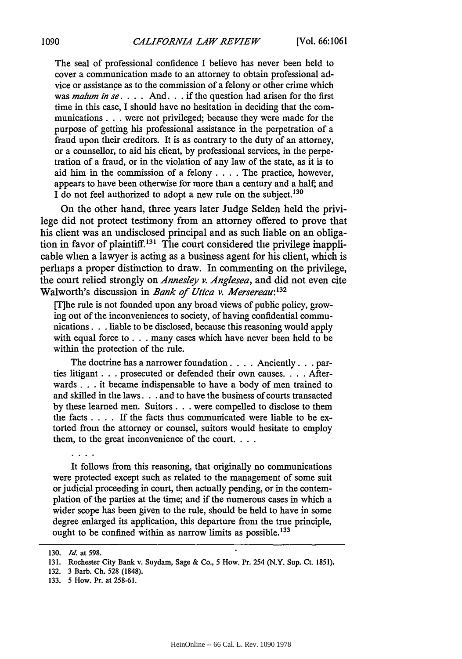The seal of professional confidence I believe has never been held to cover a communication made to an attorney to obtain professional advice or assistance as to the commission of a felony or other crime which *was malum in se.* **....** And... if the question had arisen for the first time in this case, I should have no hesitation in deciding that the communications. **.** were not privileged; because they were made for the purpose of getting his professional assistance in the perpetration of a fraud upon their creditors. It is as contrary to the duty of an attorney, or a counsellor, to aid his client, by professional services, in the perpetration of a fraud, or in the violation of any law of the state, as it is to aid him in the commission of a felony . **. .** . The practice, however, appears to have been otherwise for more than a century and a half; and I do not feel authorized to adopt a new rule on the subject.<sup>130</sup>

On the other hand, three years later Judge Selden held the privilege did not protect testimony from an attorney offered to prove that his client was an undisclosed principal and as such liable on an obligation in favor of plaintiff.<sup>131</sup> The court considered the privilege mapplicable when a lawyer is acting as a business agent for his client, which is perhaps a proper distinction to draw. In commenting on the privilege, the court relied strongly on *Annesley v. Anglesea,* and did not even cite Walworth's discussion in *Bank of Utica v. Mersereau:132*

[T]he rule is not founded upon any broad views of public policy, growing out of the inconveniences to society, of having confidential communications. **. .** liable to be disclosed, because this reasoning would apply with equal force **to. .** . many cases which have never been held to be within the protection of the rule.

The doctrine has a narrower foundation. . **.** . Anciently. **.** . parties litigant **. . .** prosecuted or defended their own causes. . **.** . Afterwards **. . .** it became indispensable to have a body of men trained to and skilled in the laws. **. .** and to have the business of courts transacted by these learned men. Suitors. **.** . were compelled to disclose to them the facts . **. .** . If the facts thus communicated were liable to be extorted from the attorney or counsel, suitors would hesitate to employ them, to the great inconvenience of the court.  $\ldots$ 

It follows from this reasoning, that originally no communications were protected except such as related to the management of some suit or judicial proceeding in court, then actually pending, or in the contemplation of the parties at the time; and if the numerous cases in which a wider scope has been given to the rule, should be held to have in some degree enlarged its application, this departure from the true principle, ought to be confined within as narrow limits as possible. **<sup>133</sup>**

<sup>130.</sup> *Id.* at **598.**

<sup>131.</sup> Rochester City Bank v. Suydam, Sage & Co., **5** How. Pr. 254 (N.Y. Sup. Ct. 1851).

<sup>132. 3</sup> Barb. Ch. 528 (1848).

<sup>133.</sup> **5** How. Pr. at 258-61.